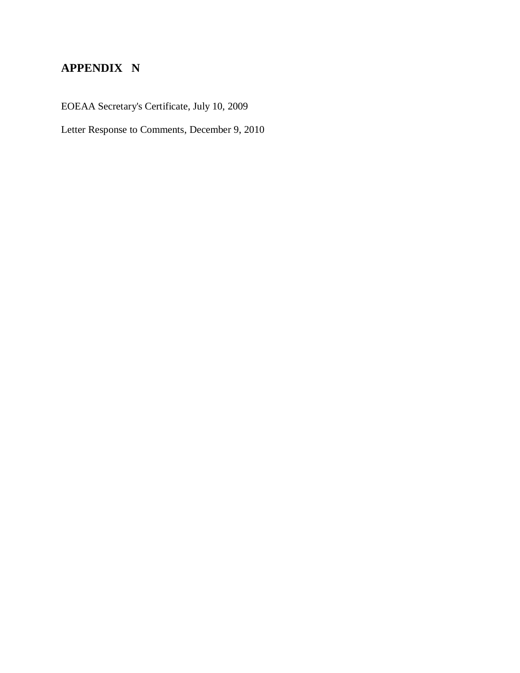# **APPENDIX N**

EOEAA Secretary's Certificate, July 10, 2009

Letter Response to Comments, December 9, 2010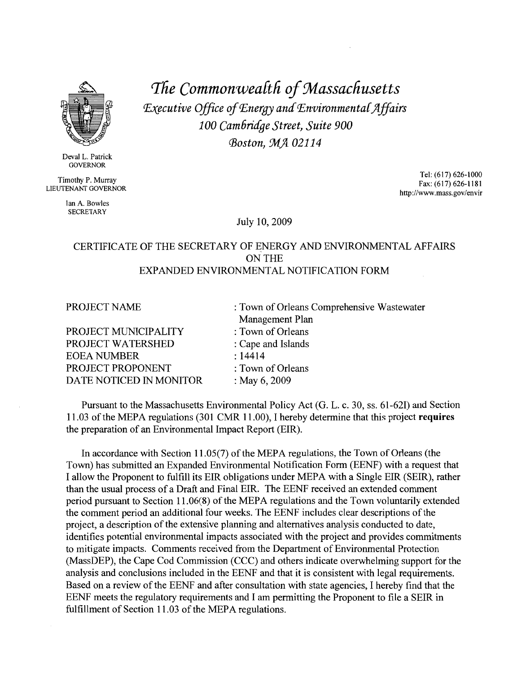

Deval L. Patrick **GOVERNOR** 

Timothy P. Murray LIEUTENANT GOVERNOR

> lan A Rowles **SECRETARY**

The Commonwealth of Massachusetts Executive Office of Energy and Environmental Affairs 100 Cambridge Street, Suite 900 **Boston, MA 02114** 

> Tel: (617) 626-1000 Fax: (617) 626-1181 http://www.mass.gov/envir

July 10, 2009

## CERTIFICATE OF THE SECRETARY OF ENERGY AND ENVIRONMENTAL AFFAIRS **ON THE** EXPANDED ENVIRONMENTAL NOTIFICATION FORM

| PROJECT NAME            | : Town of Orleans Comprehensive Wastewater |
|-------------------------|--------------------------------------------|
|                         | Management Plan                            |
| PROJECT MUNICIPALITY    | : Town of Orleans                          |
| PROJECT WATERSHED       | : Cape and Islands                         |
| <b>EOEA NUMBER</b>      | : 14414                                    |
| PROJECT PROPONENT       | : Town of Orleans                          |
| DATE NOTICED IN MONITOR | : May $6, 2009$                            |

Pursuant to the Massachusetts Environmental Policy Act (G. L. c. 30, ss. 61-62I) and Section 11.03 of the MEPA regulations (301 CMR 11.00), I hereby determine that this project requires the preparation of an Environmental Impact Report (EIR).

In accordance with Section 11.05(7) of the MEPA regulations, the Town of Orleans (the Town) has submitted an Expanded Environmental Notification Form (EENF) with a request that I allow the Proponent to fulfill its EIR obligations under MEPA with a Single EIR (SEIR), rather than the usual process of a Draft and Final EIR. The EENF received an extended comment period pursuant to Section 11.06(8) of the MEPA regulations and the Town voluntarily extended the comment period an additional four weeks. The EENF includes clear descriptions of the project, a description of the extensive planning and alternatives analysis conducted to date, identifies potential environmental impacts associated with the project and provides commitments to mitigate impacts. Comments received from the Department of Environmental Protection (MassDEP), the Cape Cod Commission (CCC) and others indicate overwhelming support for the analysis and conclusions included in the EENF and that it is consistent with legal requirements. Based on a review of the EENF and after consultation with state agencies. I hereby find that the EENF meets the regulatory requirements and I am permitting the Proponent to file a SEIR in fulfillment of Section 11.03 of the MEPA regulations.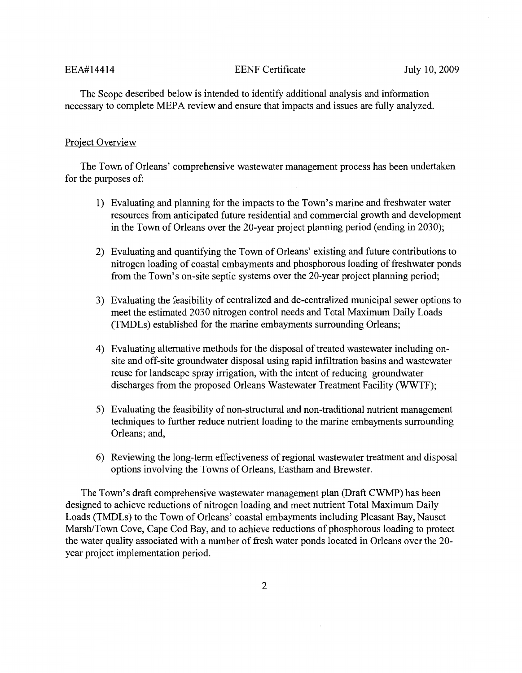#### **EENF** Certificate

The Scope described below is intended to identify additional analysis and information necessary to complete MEPA review and ensure that impacts and issues are fully analyzed.

#### Project Overview

The Town of Orleans' comprehensive wastewater management process has been undertaken for the purposes of:

- 1) Evaluating and planning for the impacts to the Town's marine and freshwater water resources from anticipated future residential and commercial growth and development in the Town of Orleans over the 20-year project planning period (ending in 2030);
- 2) Evaluating and quantifying the Town of Orleans' existing and future contributions to nitrogen loading of coastal embayments and phosphorous loading of freshwater ponds from the Town's on-site septic systems over the 20-year project planning period;
- 3) Evaluating the feasibility of centralized and de-centralized municipal sewer options to meet the estimated 2030 nitrogen control needs and Total Maximum Daily Loads (TMDLs) established for the marine embayments surrounding Orleans;
- 4) Evaluating alternative methods for the disposal of treated wastewater including onsite and off-site groundwater disposal using rapid infiltration basins and wastewater reuse for landscape spray irrigation, with the intent of reducing groundwater discharges from the proposed Orleans Wastewater Treatment Facility (WWTF):
- 5) Evaluating the feasibility of non-structural and non-traditional nutrient management techniques to further reduce nutrient loading to the marine embayments surrounding Orleans; and,
- 6) Reviewing the long-term effectiveness of regional wastewater treatment and disposal options involving the Towns of Orleans, Eastham and Brewster.

The Town's draft comprehensive wastewater management plan (Draft CWMP) has been designed to achieve reductions of nitrogen loading and meet nutrient Total Maximum Daily Loads (TMDLs) to the Town of Orleans' coastal embayments including Pleasant Bay, Nauset Marsh/Town Cove, Cape Cod Bay, and to achieve reductions of phosphorous loading to protect the water quality associated with a number of fresh water ponds located in Orleans over the 20year project implementation period.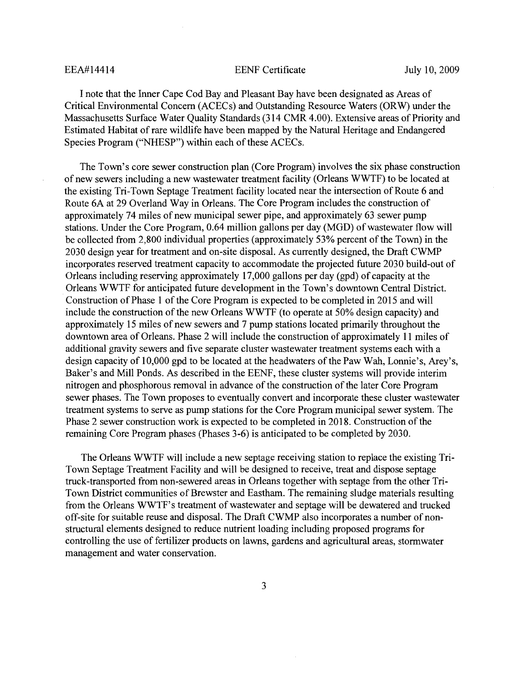#### **EENF** Certificate

I note that the Inner Cape Cod Bay and Pleasant Bay have been designated as Areas of Critical Environmental Concern (ACECs) and Outstanding Resource Waters (ORW) under the Massachusetts Surface Water Quality Standards (314 CMR 4.00). Extensive areas of Priority and Estimated Habitat of rare wildlife have been mapped by the Natural Heritage and Endangered Species Program ("NHESP") within each of these ACECs.

The Town's core sewer construction plan (Core Program) involves the six phase construction of new sewers including a new wastewater treatment facility (Orleans WWTF) to be located at the existing Tri-Town Septage Treatment facility located near the intersection of Route 6 and Route 6A at 29 Overland Way in Orleans. The Core Program includes the construction of approximately 74 miles of new municipal sewer pipe, and approximately 63 sewer pump stations. Under the Core Program, 0.64 million gallons per day (MGD) of wastewater flow will be collected from 2,800 individual properties (approximately 53% percent of the Town) in the 2030 design year for treatment and on-site disposal. As currently designed, the Draft CWMP incorporates reserved treatment capacity to accommodate the projected future 2030 build-out of Orleans including reserving approximately 17,000 gallons per day (gpd) of capacity at the Orleans WWTF for anticipated future development in the Town's downtown Central District. Construction of Phase 1 of the Core Program is expected to be completed in 2015 and will include the construction of the new Orleans WWTF (to operate at 50% design capacity) and approximately 15 miles of new sewers and 7 pump stations located primarily throughout the downtown area of Orleans. Phase 2 will include the construction of approximately 11 miles of additional gravity sewers and five separate cluster wastewater treatment systems each with a design capacity of 10,000 gpd to be located at the headwaters of the Paw Wah, Lonnie's, Arey's, Baker's and Mill Ponds. As described in the EENF, these cluster systems will provide interim nitrogen and phosphorous removal in advance of the construction of the later Core Program sewer phases. The Town proposes to eventually convert and incorporate these cluster wastewater treatment systems to serve as pump stations for the Core Program municipal sewer system. The Phase 2 sewer construction work is expected to be completed in 2018. Construction of the remaining Core Program phases (Phases 3-6) is anticipated to be completed by 2030.

The Orleans WWTF will include a new septage receiving station to replace the existing Tri-Town Septage Treatment Facility and will be designed to receive, treat and dispose septage truck-transported from non-sewered areas in Orleans together with septage from the other Tri-Town District communities of Brewster and Eastham. The remaining sludge materials resulting from the Orleans WWTF's treatment of wastewater and septage will be dewatered and trucked off-site for suitable reuse and disposal. The Draft CWMP also incorporates a number of nonstructural elements designed to reduce nutrient loading including proposed programs for controlling the use of fertilizer products on lawns, gardens and agricultural areas, stormwater management and water conservation.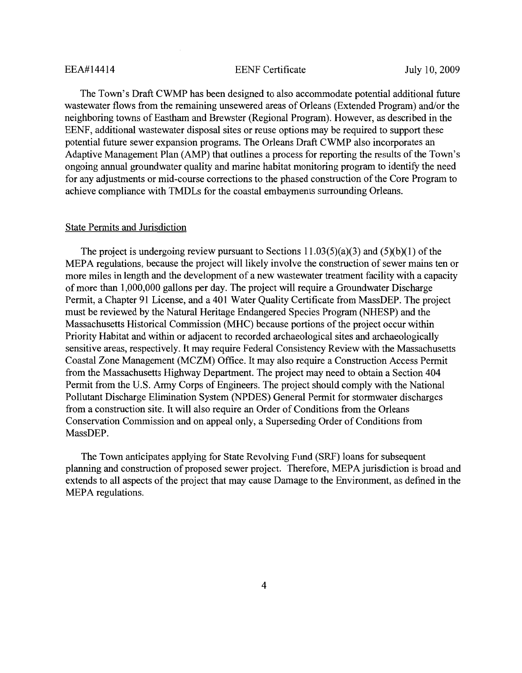#### **EENF** Certificate

The Town's Draft CWMP has been designed to also accommodate potential additional future wastewater flows from the remaining unsewered areas of Orleans (Extended Program) and/or the neighboring towns of Eastham and Brewster (Regional Program). However, as described in the EENF, additional wastewater disposal sites or reuse options may be required to support these potential future sewer expansion programs. The Orleans Draft CWMP also incorporates an Adaptive Management Plan (AMP) that outlines a process for reporting the results of the Town's ongoing annual groundwater quality and marine habitat monitoring program to identify the need for any adjustments or mid-course corrections to the phased construction of the Core Program to achieve compliance with TMDLs for the coastal embayments surrounding Orleans.

#### **State Permits and Jurisdiction**

The project is undergoing review pursuant to Sections  $11.03(5)(a)(3)$  and  $(5)(b)(1)$  of the MEPA regulations, because the project will likely involve the construction of sewer mains ten or more miles in length and the development of a new wastewater treatment facility with a capacity of more than 1,000,000 gallons per day. The project will require a Groundwater Discharge Permit, a Chapter 91 License, and a 401 Water Ouality Certificate from MassDEP. The project must be reviewed by the Natural Heritage Endangered Species Program (NHESP) and the Massachusetts Historical Commission (MHC) because portions of the project occur within Priority Habitat and within or adjacent to recorded archaeological sites and archaeologically sensitive areas, respectively. It may require Federal Consistency Review with the Massachusetts Coastal Zone Management (MCZM) Office. It may also require a Construction Access Permit from the Massachusetts Highway Department. The project may need to obtain a Section 404 Permit from the U.S. Army Corps of Engineers. The project should comply with the National Pollutant Discharge Elimination System (NPDES) General Permit for stormwater discharges from a construction site. It will also require an Order of Conditions from the Orleans Conservation Commission and on appeal only, a Superseding Order of Conditions from MassDEP.

The Town anticipates applying for State Revolving Fund (SRF) loans for subsequent planning and construction of proposed sewer project. Therefore, MEPA jurisdiction is broad and extends to all aspects of the project that may cause Damage to the Environment, as defined in the MEPA regulations.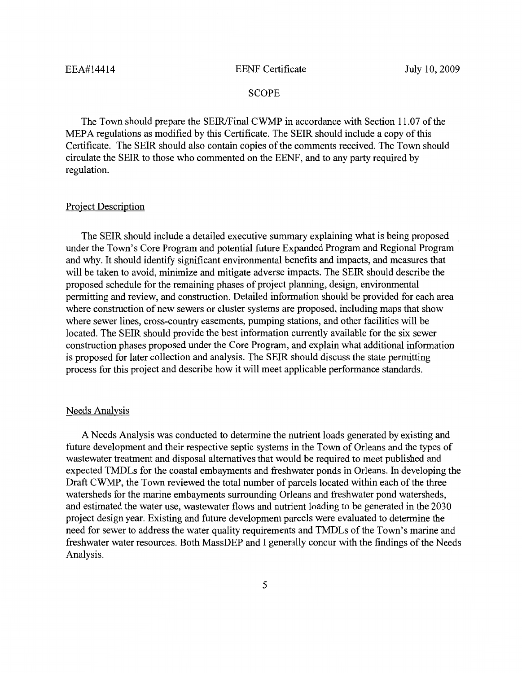#### **EENF** Certificate

#### **SCOPE**

The Town should prepare the SEIR/Final CWMP in accordance with Section 11.07 of the MEPA regulations as modified by this Certificate. The SEIR should include a copy of this Certificate. The SEIR should also contain copies of the comments received. The Town should circulate the SEIR to those who commented on the EENF, and to any party required by regulation.

### **Project Description**

The SEIR should include a detailed executive summary explaining what is being proposed under the Town's Core Program and potential future Expanded Program and Regional Program and why. It should identify significant environmental benefits and impacts, and measures that will be taken to avoid, minimize and mitigate adverse impacts. The SEIR should describe the proposed schedule for the remaining phases of project planning, design, environmental permitting and review, and construction. Detailed information should be provided for each area where construction of new sewers or cluster systems are proposed, including maps that show where sewer lines, cross-country easements, pumping stations, and other facilities will be located. The SEIR should provide the best information currently available for the six sewer construction phases proposed under the Core Program, and explain what additional information is proposed for later collection and analysis. The SEIR should discuss the state permitting process for this project and describe how it will meet applicable performance standards.

#### **Needs Analysis**

A Needs Analysis was conducted to determine the nutrient loads generated by existing and future development and their respective septic systems in the Town of Orleans and the types of wastewater treatment and disposal alternatives that would be required to meet published and expected TMDLs for the coastal embayments and freshwater ponds in Orleans. In developing the Draft CWMP, the Town reviewed the total number of parcels located within each of the three watersheds for the marine embayments surrounding Orleans and freshwater pond watersheds, and estimated the water use, wastewater flows and nutrient loading to be generated in the 2030 project design year. Existing and future development parcels were evaluated to determine the need for sewer to address the water quality requirements and TMDLs of the Town's marine and freshwater water resources. Both MassDEP and I generally concur with the findings of the Needs Analysis.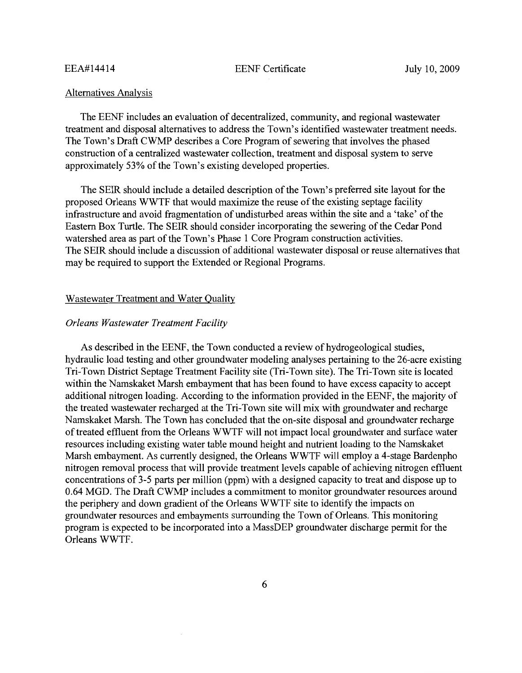**EENF** Certificate

#### **Alternatives Analysis**

The EENF includes an evaluation of decentralized, community, and regional wastewater treatment and disposal alternatives to address the Town's identified wastewater treatment needs. The Town's Draft CWMP describes a Core Program of sewering that involves the phased construction of a centralized wastewater collection, treatment and disposal system to serve approximately 53% of the Town's existing developed properties.

The SEIR should include a detailed description of the Town's preferred site layout for the proposed Orleans WWTF that would maximize the reuse of the existing septage facility infrastructure and avoid fragmentation of undisturbed areas within the site and a 'take' of the Eastern Box Turtle. The SEIR should consider incorporating the sewering of the Cedar Pond watershed area as part of the Town's Phase 1 Core Program construction activities. The SEIR should include a discussion of additional wastewater disposal or reuse alternatives that may be required to support the Extended or Regional Programs.

#### Wastewater Treatment and Water Quality

### **Orleans Wastewater Treatment Facility**

As described in the EENF, the Town conducted a review of hydrogeological studies, hydraulic load testing and other groundwater modeling analyses pertaining to the 26-acre existing Tri-Town District Septage Treatment Facility site (Tri-Town site). The Tri-Town site is located within the Namskaket Marsh embayment that has been found to have excess capacity to accept additional nitrogen loading. According to the information provided in the EENF, the majority of the treated wastewater recharged at the Tri-Town site will mix with groundwater and recharge Namskaket Marsh. The Town has concluded that the on-site disposal and groundwater recharge of treated effluent from the Orleans WWTF will not impact local groundwater and surface water resources including existing water table mound height and nutrient loading to the Namskaket Marsh embayment. As currently designed, the Orleans WWTF will employ a 4-stage Bardenpho nitrogen removal process that will provide treatment levels capable of achieving nitrogen effluent concentrations of 3-5 parts per million (ppm) with a designed capacity to treat and dispose up to 0.64 MGD. The Draft CWMP includes a commitment to monitor groundwater resources around the periphery and down gradient of the Orleans WWTF site to identify the impacts on groundwater resources and embayments surrounding the Town of Orleans. This monitoring program is expected to be incorporated into a MassDEP groundwater discharge permit for the Orleans WWTF.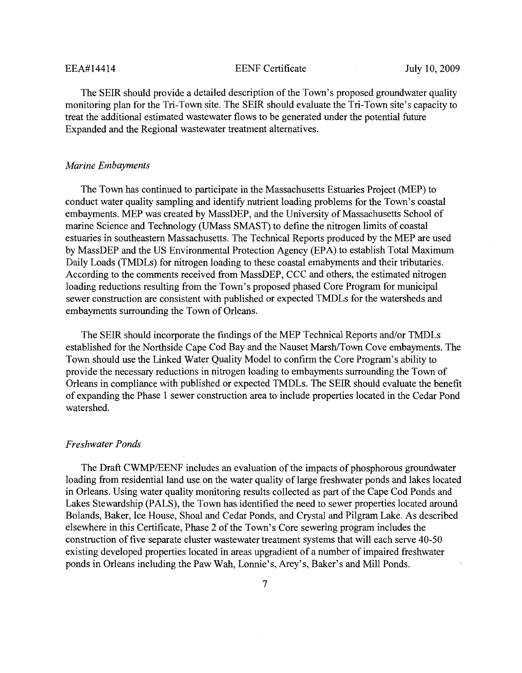**EENF** Certificate

The SEIR should provide a detailed description of the Town's proposed groundwater quality monitoring plan for the Tri-Town site. The SEIR should evaluate the Tri-Town site's capacity to treat the additional estimated wastewater flows to be generated under the potential future Expanded and the Regional wastewater treatment alternatives.

### **Marine Embayments**

The Town has continued to participate in the Massachusetts Estuaries Project (MEP) to conduct water quality sampling and identify nutrient loading problems for the Town's coastal embayments. MEP was created by MassDEP, and the University of Massachusetts School of marine Science and Technology (UMass SMAST) to define the nitrogen limits of coastal estuaries in southeastern Massachusetts. The Technical Reports produced by the MEP are used by MassDEP and the US Environmental Protection Agency (EPA) to establish Total Maximum Daily Loads (TMDLs) for nitrogen loading to these coastal emabyments and their tributaries. According to the comments received from MassDEP, CCC and others, the estimated nitrogen loading reductions resulting from the Town's proposed phased Core Program for municipal sewer construction are consistent with published or expected TMDLs for the watersheds and embayments surrounding the Town of Orleans.

The SEIR should incorporate the findings of the MEP Technical Reports and/or TMDLs established for the Northside Cape Cod Bay and the Nauset Marsh/Town Cove embayments. The Town should use the Linked Water Quality Model to confirm the Core Program's ability to provide the necessary reductions in nitrogen loading to embayments surrounding the Town of Orleans in compliance with published or expected TMDLs. The SEIR should evaluate the benefit of expanding the Phase 1 sewer construction area to include properties located in the Cedar Pond watershed.

#### **Freshwater Ponds**

The Draft CWMP/EENF includes an evaluation of the impacts of phosphorous groundwater loading from residential land use on the water quality of large freshwater ponds and lakes located in Orleans. Using water quality monitoring results collected as part of the Cape Cod Ponds and Lakes Stewardship (PALS), the Town has identified the need to sewer properties located around Bolands, Baker, Ice House, Shoal and Cedar Ponds, and Crystal and Pilgram Lake. As described elsewhere in this Certificate, Phase 2 of the Town's Core sewering program includes the construction of five separate cluster wastewater treatment systems that will each serve 40-50 existing developed properties located in areas upgradient of a number of impaired freshwater ponds in Orleans including the Paw Wah, Lonnie's, Arey's, Baker's and Mill Ponds.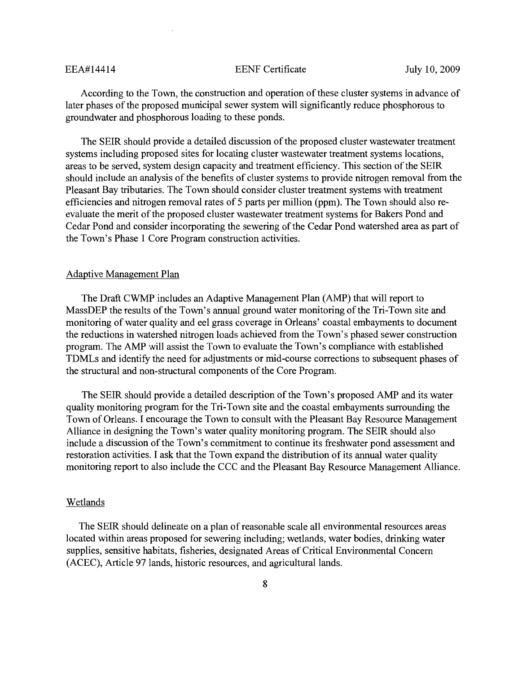**EENF** Certificate

According to the Town, the construction and operation of these cluster systems in advance of later phases of the proposed municipal sewer system will significantly reduce phosphorous to groundwater and phosphorous loading to these ponds.

The SEIR should provide a detailed discussion of the proposed cluster wastewater treatment systems including proposed sites for locating cluster wastewater treatment systems locations, areas to be served, system design capacity and treatment efficiency. This section of the SEIR should include an analysis of the benefits of cluster systems to provide nitrogen removal from the Pleasant Bay tributaries. The Town should consider cluster treatment systems with treatment efficiencies and nitrogen removal rates of 5 parts per million (ppm). The Town should also reevaluate the merit of the proposed cluster wastewater treatment systems for Bakers Pond and Cedar Pond and consider incorporating the sewering of the Cedar Pond watershed area as part of the Town's Phase 1 Core Program construction activities.

#### **Adaptive Management Plan**

The Draft CWMP includes an Adaptive Management Plan (AMP) that will report to MassDEP the results of the Town's annual ground water monitoring of the Tri-Town site and monitoring of water quality and eel grass coverage in Orleans' coastal embayments to document the reductions in watershed nitrogen loads achieved from the Town's phased sewer construction program. The AMP will assist the Town to evaluate the Town's compliance with established TDMLs and identify the need for adjustments or mid-course corrections to subsequent phases of the structural and non-structural components of the Core Program.

The SEIR should provide a detailed description of the Town's proposed AMP and its water quality monitoring program for the Tri-Town site and the coastal embayments surrounding the Town of Orleans. I encourage the Town to consult with the Pleasant Bay Resource Management Alliance in designing the Town's water quality monitoring program. The SEIR should also include a discussion of the Town's commitment to continue its freshwater pond assessment and restoration activities. I ask that the Town expand the distribution of its annual water quality monitoring report to also include the CCC and the Pleasant Bay Resource Management Alliance.

#### Wetlands

The SEIR should delineate on a plan of reasonable scale all environmental resources areas located within areas proposed for sewering including; wetlands, water bodies, drinking water supplies, sensitive habitats, fisheries, designated Areas of Critical Environmental Concern (ACEC), Article 97 lands, historic resources, and agricultural lands.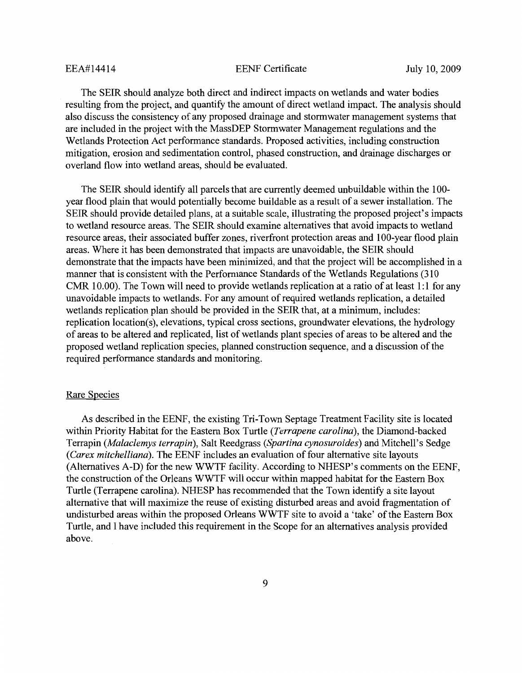**EENF** Certificate

The SEIR should analyze both direct and indirect impacts on wetlands and water bodies resulting from the project, and quantify the amount of direct wetland impact. The analysis should also discuss the consistency of any proposed drainage and stormwater management systems that are included in the project with the MassDEP Stormwater Management regulations and the Wetlands Protection Act performance standards. Proposed activities, including construction mitigation, erosion and sedimentation control, phased construction, and drainage discharges or overland flow into wetland areas, should be evaluated.

The SEIR should identify all parcels that are currently deemed unbuildable within the 100year flood plain that would potentially become buildable as a result of a sewer installation. The SEIR should provide detailed plans, at a suitable scale, illustrating the proposed project's impacts to wetland resource areas. The SEIR should examine alternatives that avoid impacts to wetland resource areas, their associated buffer zones, riverfront protection areas and 100-year flood plain areas. Where it has been demonstrated that impacts are unavoidable, the SEIR should demonstrate that the impacts have been minimized, and that the project will be accomplished in a manner that is consistent with the Performance Standards of the Wetlands Regulations (310) CMR 10.00). The Town will need to provide wetlands replication at a ratio of at least 1:1 for any unavoidable impacts to wetlands. For any amount of required wetlands replication, a detailed wetlands replication plan should be provided in the SEIR that, at a minimum, includes: replication location(s), elevations, typical cross sections, groundwater elevations, the hydrology of areas to be altered and replicated, list of wetlands plant species of areas to be altered and the proposed wetland replication species, planned construction sequence, and a discussion of the required performance standards and monitoring.

#### **Rare Species**

As described in the EENF, the existing Tri-Town Septage Treatment Facility site is located within Priority Habitat for the Eastern Box Turtle (Terrapene carolina), the Diamond-backed Terrapin (Malaclemys terrapin), Salt Reedgrass (Spartina cynosuroides) and Mitchell's Sedge (Carex mitchelliana). The EENF includes an evaluation of four alternative site layouts (Alternatives A-D) for the new WWTF facility. According to NHESP's comments on the EENF, the construction of the Orleans WWTF will occur within mapped habitat for the Eastern Box Turtle (Terrapene carolina). NHESP has recommended that the Town identify a site layout alternative that will maximize the reuse of existing disturbed areas and avoid fragmentation of undisturbed areas within the proposed Orleans WWTF site to avoid a 'take' of the Eastern Box Turtle, and I have included this requirement in the Scope for an alternatives analysis provided above.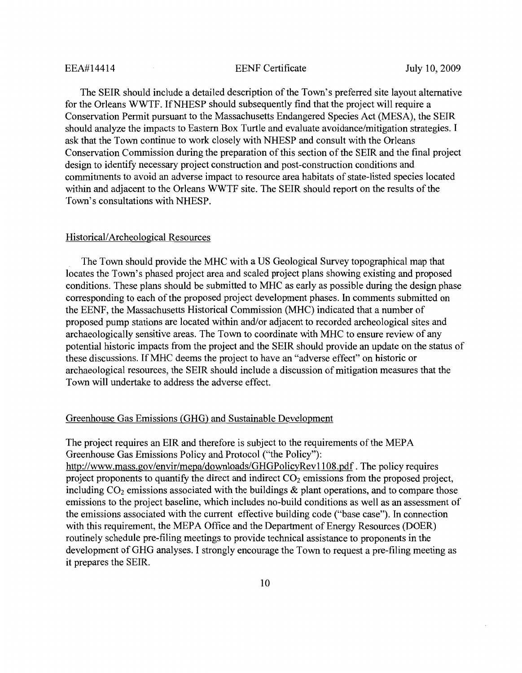#### **EENF** Certificate

The SEIR should include a detailed description of the Town's preferred site layout alternative for the Orleans WWTF. If NHESP should subsequently find that the project will require a Conservation Permit pursuant to the Massachusetts Endangered Species Act (MESA), the SEIR should analyze the impacts to Eastern Box Turtle and evaluate avoidance/mitigation strategies. I ask that the Town continue to work closely with NHESP and consult with the Orleans Conservation Commission during the preparation of this section of the SEIR and the final project design to identify necessary project construction and post-construction conditions and commitments to avoid an adverse impact to resource area habitats of state-listed species located within and adjacent to the Orleans WWTF site. The SEIR should report on the results of the Town's consultations with NHESP.

#### Historical/Archeological Resources

The Town should provide the MHC with a US Geological Survey topographical map that locates the Town's phased project area and scaled project plans showing existing and proposed conditions. These plans should be submitted to MHC as early as possible during the design phase corresponding to each of the proposed project development phases. In comments submitted on the EENF, the Massachusetts Historical Commission (MHC) indicated that a number of proposed pump stations are located within and/or adjacent to recorded archeological sites and archaeologically sensitive areas. The Town to coordinate with MHC to ensure review of any potential historic impacts from the project and the SEIR should provide an update on the status of these discussions. If MHC deems the project to have an "adverse effect" on historic or archaeological resources, the SEIR should include a discussion of mitigation measures that the Town will undertake to address the adverse effect.

#### Greenhouse Gas Emissions (GHG) and Sustainable Development

The project requires an EIR and therefore is subject to the requirements of the MEPA Greenhouse Gas Emissions Policy and Protocol ("the Policy"): http://www.mass.gov/envir/mepa/downloads/GHGPolicyRev1108.pdf. The policy requires project proponents to quantify the direct and indirect  $CO<sub>2</sub>$  emissions from the proposed project, including  $CO_2$  emissions associated with the buildings  $\&$  plant operations, and to compare those emissions to the project baseline, which includes no-build conditions as well as an assessment of the emissions associated with the current effective building code ("base case"). In connection with this requirement, the MEPA Office and the Department of Energy Resources (DOER) routinely schedule pre-filing meetings to provide technical assistance to proponents in the development of GHG analyses. I strongly encourage the Town to request a pre-filing meeting as it prepares the SEIR.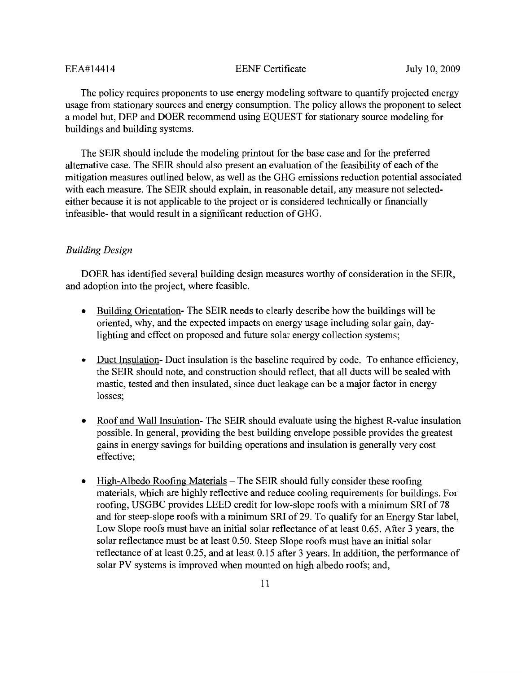#### **EENF** Certificate

The policy requires proponents to use energy modeling software to quantify projected energy usage from stationary sources and energy consumption. The policy allows the proponent to select a model but, DEP and DOER recommend using EQUEST for stationary source modeling for buildings and building systems.

The SEIR should include the modeling printout for the base case and for the preferred alternative case. The SEIR should also present an evaluation of the feasibility of each of the mitigation measures outlined below, as well as the GHG emissions reduction potential associated with each measure. The SEIR should explain, in reasonable detail, any measure not selectedeither because it is not applicable to the project or is considered technically or financially infeasible- that would result in a significant reduction of GHG.

## **Building Design**

DOER has identified several building design measures worthy of consideration in the SEIR. and adoption into the project, where feasible.

- Building Orientation-The SEIR needs to clearly describe how the buildings will be oriented, why, and the expected impacts on energy usage including solar gain, daylighting and effect on proposed and future solar energy collection systems;
- Duct Insulation-Duct insulation is the baseline required by code. To enhance efficiency, the SEIR should note, and construction should reflect, that all ducts will be sealed with mastic, tested and then insulated, since duct leakage can be a major factor in energy losses;
- $\bullet$ Roof and Wall Insulation-The SEIR should evaluate using the highest R-value insulation possible. In general, providing the best building envelope possible provides the greatest gains in energy savings for building operations and insulation is generally very cost effective;
- $\bullet$ <u>High-Albedo Roofing Materials</u> – The SEIR should fully consider these roofing materials, which are highly reflective and reduce cooling requirements for buildings. For roofing, USGBC provides LEED credit for low-slope roofs with a minimum SRI of 78 and for steep-slope roofs with a minimum SRI of 29. To qualify for an Energy Star label, Low Slope roofs must have an initial solar reflectance of at least 0.65. After 3 years, the solar reflectance must be at least 0.50. Steep Slope roofs must have an initial solar reflectance of at least 0.25, and at least 0.15 after 3 years. In addition, the performance of solar PV systems is improved when mounted on high albedo roofs; and,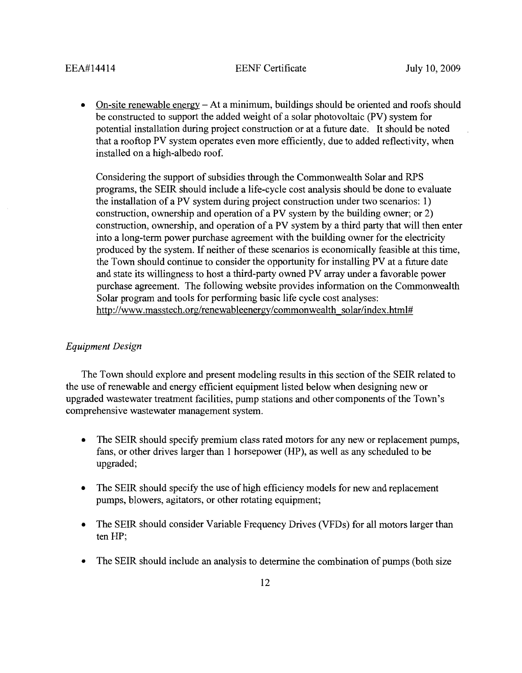**EENF** Certificate

On-site renewable energy  $-$  At a minimum, buildings should be oriented and roofs should  $\bullet$ be constructed to support the added weight of a solar photovoltaic (PV) system for potential installation during project construction or at a future date. It should be noted that a rooftop PV system operates even more efficiently, due to added reflectivity, when installed on a high-albedo roof.

Considering the support of subsidies through the Commonwealth Solar and RPS programs, the SEIR should include a life-cycle cost analysis should be done to evaluate the installation of a PV system during project construction under two scenarios: 1) construction, ownership and operation of a PV system by the building owner; or 2) construction, ownership, and operation of a PV system by a third party that will then enter into a long-term power purchase agreement with the building owner for the electricity produced by the system. If neither of these scenarios is economically feasible at this time, the Town should continue to consider the opportunity for installing PV at a future date and state its willingness to host a third-party owned PV array under a favorable power purchase agreement. The following website provides information on the Commonwealth Solar program and tools for performing basic life cycle cost analyses: http://www.masstech.org/renewableenergy/commonwealth\_solar/index.html#

#### **Equipment Design**

The Town should explore and present modeling results in this section of the SEIR related to the use of renewable and energy efficient equipment listed below when designing new or upgraded wastewater treatment facilities, pump stations and other components of the Town's comprehensive wastewater management system.

- $\bullet$ The SEIR should specify premium class rated motors for any new or replacement pumps. fans, or other drives larger than 1 horsepower (HP), as well as any scheduled to be upgraded;
- $\bullet$ The SEIR should specify the use of high efficiency models for new and replacement pumps, blowers, agitators, or other rotating equipment;
- The SEIR should consider Variable Frequency Drives (VFDs) for all motors larger than  $\bullet$ ten HP:
- $\bullet$ The SEIR should include an analysis to determine the combination of pumps (both size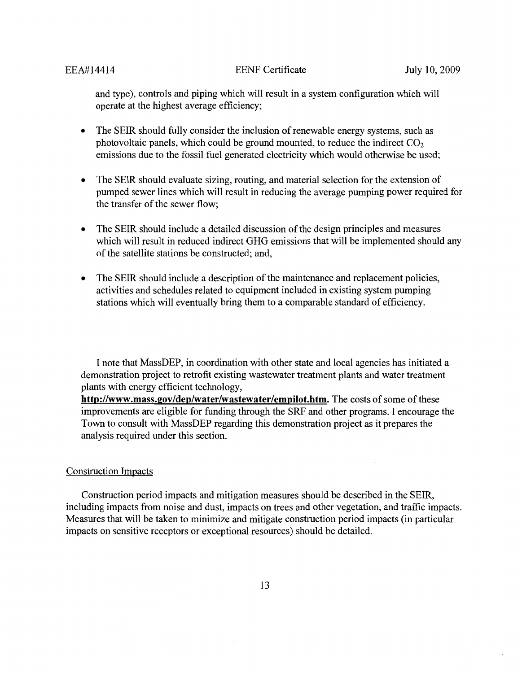and type), controls and piping which will result in a system configuration which will operate at the highest average efficiency;

- $\bullet$ The SEIR should fully consider the inclusion of renewable energy systems, such as photovoltaic panels, which could be ground mounted, to reduce the indirect  $CO<sub>2</sub>$ emissions due to the fossil fuel generated electricity which would otherwise be used;
- The SEIR should evaluate sizing, routing, and material selection for the extension of  $\bullet$ pumped sewer lines which will result in reducing the average pumping power required for the transfer of the sewer flow;
- The SEIR should include a detailed discussion of the design principles and measures  $\bullet$ which will result in reduced indirect GHG emissions that will be implemented should any of the satellite stations be constructed; and,
- The SEIR should include a description of the maintenance and replacement policies,  $\bullet$ activities and schedules related to equipment included in existing system pumping stations which will eventually bring them to a comparable standard of efficiency.

I note that MassDEP, in coordination with other state and local agencies has initiated a demonstration project to retrofit existing wastewater treatment plants and water treatment plants with energy efficient technology,

http://www.mass.gov/dep/water/wastewater/empilot.htm. The costs of some of these improvements are eligible for funding through the SRF and other programs. I encourage the Town to consult with MassDEP regarding this demonstration project as it prepares the analysis required under this section.

#### **Construction Impacts**

Construction period impacts and mitigation measures should be described in the SEIR, including impacts from noise and dust, impacts on trees and other vegetation, and traffic impacts. Measures that will be taken to minimize and mitigate construction period impacts (in particular impacts on sensitive receptors or exceptional resources) should be detailed.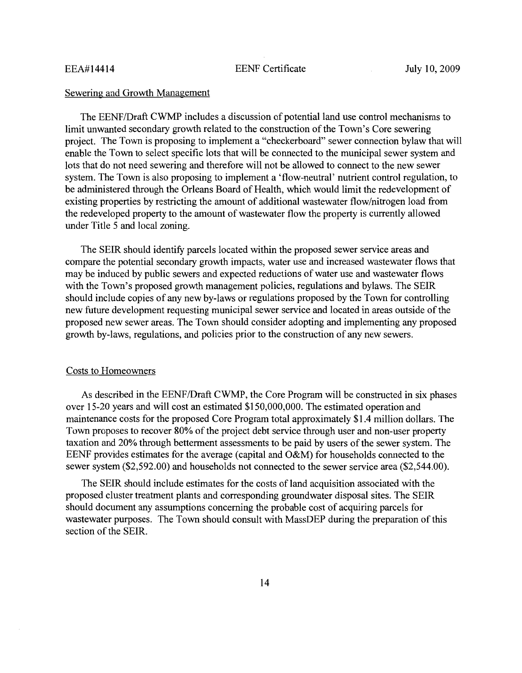#### Sewering and Growth Management

The EENF/Draft CWMP includes a discussion of potential land use control mechanisms to limit unwanted secondary growth related to the construction of the Town's Core sewering project. The Town is proposing to implement a "checkerboard" sewer connection bylaw that will enable the Town to select specific lots that will be connected to the municipal sewer system and lots that do not need sewering and therefore will not be allowed to connect to the new sewer system. The Town is also proposing to implement a 'flow-neutral' nutrient control regulation, to be administered through the Orleans Board of Health, which would limit the redevelopment of existing properties by restricting the amount of additional wastewater flow/nitrogen load from the redeveloped property to the amount of wastewater flow the property is currently allowed under Title 5 and local zoning.

The SEIR should identify parcels located within the proposed sewer service areas and compare the potential secondary growth impacts, water use and increased wastewater flows that may be induced by public sewers and expected reductions of water use and wastewater flows with the Town's proposed growth management policies, regulations and bylaws. The SEIR should include copies of any new by-laws or regulations proposed by the Town for controlling new future development requesting municipal sewer service and located in areas outside of the proposed new sewer areas. The Town should consider adopting and implementing any proposed growth by-laws, regulations, and policies prior to the construction of any new sewers.

#### **Costs to Homeowners**

As described in the EENF/Draft CWMP, the Core Program will be constructed in six phases over 15-20 years and will cost an estimated \$150,000,000. The estimated operation and maintenance costs for the proposed Core Program total approximately \$1.4 million dollars. The Town proposes to recover 80% of the project debt service through user and non-user property taxation and 20% through betterment assessments to be paid by users of the sewer system. The EENF provides estimates for the average (capital and O&M) for households connected to the sewer system (\$2,592.00) and households not connected to the sewer service area (\$2,544.00).

The SEIR should include estimates for the costs of land acquisition associated with the proposed cluster treatment plants and corresponding groundwater disposal sites. The SEIR should document any assumptions concerning the probable cost of acquiring parcels for wastewater purposes. The Town should consult with MassDEP during the preparation of this section of the SEIR.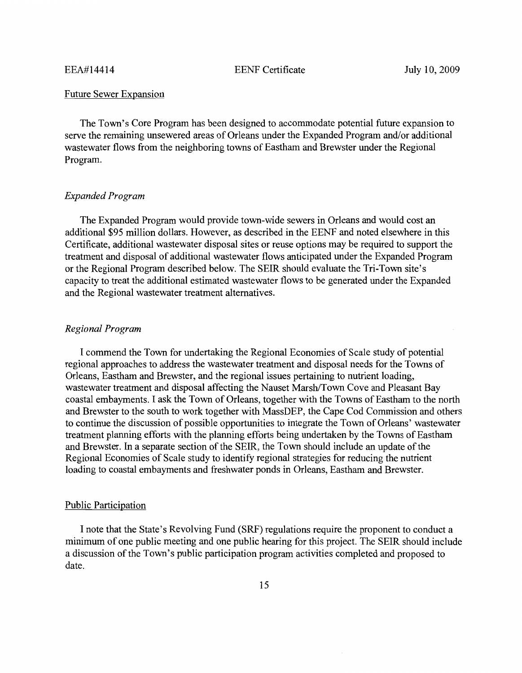**EENF** Certificate

### **Future Sewer Expansion**

The Town's Core Program has been designed to accommodate potential future expansion to serve the remaining unsewered areas of Orleans under the Expanded Program and/or additional wastewater flows from the neighboring towns of Eastham and Brewster under the Regional Program.

#### **Expanded Program**

The Expanded Program would provide town-wide sewers in Orleans and would cost an additional \$95 million dollars. However, as described in the EENF and noted elsewhere in this Certificate, additional wastewater disposal sites or reuse options may be required to support the treatment and disposal of additional wastewater flows anticipated under the Expanded Program or the Regional Program described below. The SEIR should evaluate the Tri-Town site's capacity to treat the additional estimated wastewater flows to be generated under the Expanded and the Regional wastewater treatment alternatives.

### Regional Program

I commend the Town for undertaking the Regional Economies of Scale study of potential regional approaches to address the wastewater treatment and disposal needs for the Towns of Orleans, Eastham and Brewster, and the regional issues pertaining to nutrient loading, wastewater treatment and disposal affecting the Nauset Marsh/Town Cove and Pleasant Bay coastal embayments. I ask the Town of Orleans, together with the Towns of Eastham to the north and Brewster to the south to work together with MassDEP, the Cape Cod Commission and others to continue the discussion of possible opportunities to integrate the Town of Orleans' wastewater treatment planning efforts with the planning efforts being undertaken by the Towns of Eastham and Brewster. In a separate section of the SEIR, the Town should include an update of the Regional Economies of Scale study to identify regional strategies for reducing the nutrient loading to coastal embayments and freshwater ponds in Orleans, Eastham and Brewster.

#### **Public Participation**

I note that the State's Revolving Fund (SRF) regulations require the proponent to conduct a minimum of one public meeting and one public hearing for this project. The SEIR should include a discussion of the Town's public participation program activities completed and proposed to date.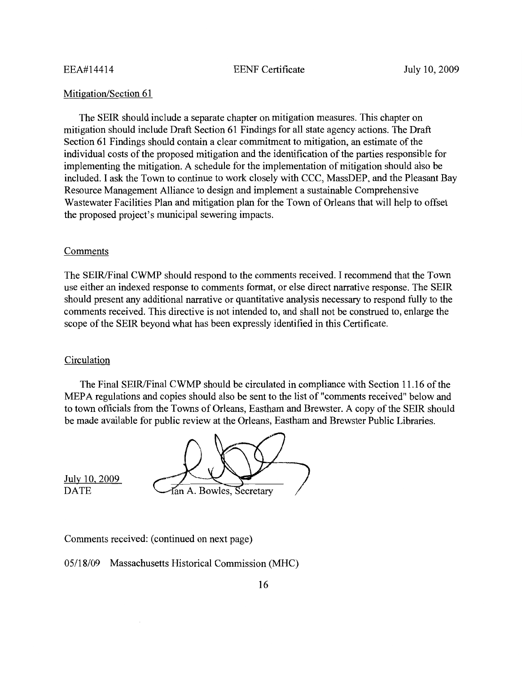**EENF** Certificate

#### Mitigation/Section 61

The SEIR should include a separate chapter on mitigation measures. This chapter on mitigation should include Draft Section 61 Findings for all state agency actions. The Draft Section 61 Findings should contain a clear commitment to mitigation, an estimate of the individual costs of the proposed mitigation and the identification of the parties responsible for implementing the mitigation. A schedule for the implementation of mitigation should also be included. I ask the Town to continue to work closely with CCC, MassDEP, and the Pleasant Bay Resource Management Alliance to design and implement a sustainable Comprehensive Wastewater Facilities Plan and mitigation plan for the Town of Orleans that will help to offset the proposed project's municipal sewering impacts.

#### Comments

The SEIR/Final CWMP should respond to the comments received. I recommend that the Town use either an indexed response to comments format, or else direct narrative response. The SEIR should present any additional narrative or quantitative analysis necessary to respond fully to the comments received. This directive is not intended to, and shall not be construed to, enlarge the scope of the SEIR beyond what has been expressly identified in this Certificate.

#### Circulation

The Final SEIR/Final CWMP should be circulated in compliance with Section 11.16 of the MEPA regulations and copies should also be sent to the list of "comments received" below and to town officials from the Towns of Orleans, Eastham and Brewster. A copy of the SEIR should be made available for public review at the Orleans, Eastham and Brewster Public Libraries.

fan A. Bowles, Secretary

July 10, 2009 **DATE** 

Comments received: (continued on next page)

05/18/09 Massachusetts Historical Commission (MHC)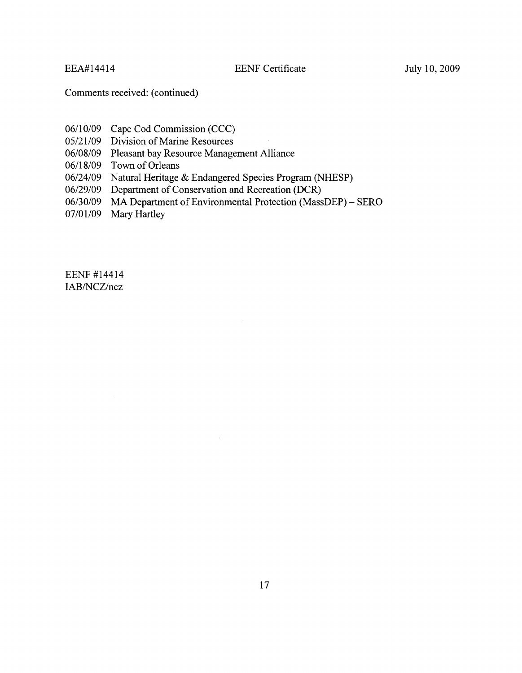**EENF** Certificate

Comments received: (continued)

- 06/10/09 Cape Cod Commission (CCC)
- 05/21/09 Division of Marine Resources
- 06/08/09 Pleasant bay Resource Management Alliance
- 06/18/09 Town of Orleans
- 06/24/09 Natural Heritage & Endangered Species Program (NHESP)
- 06/29/09 Department of Conservation and Recreation (DCR)
- 06/30/09 MA Department of Environmental Protection (MassDEP) SERO
- 07/01/09 Mary Hartley

EENF #14414 IAB/NCZ/ncz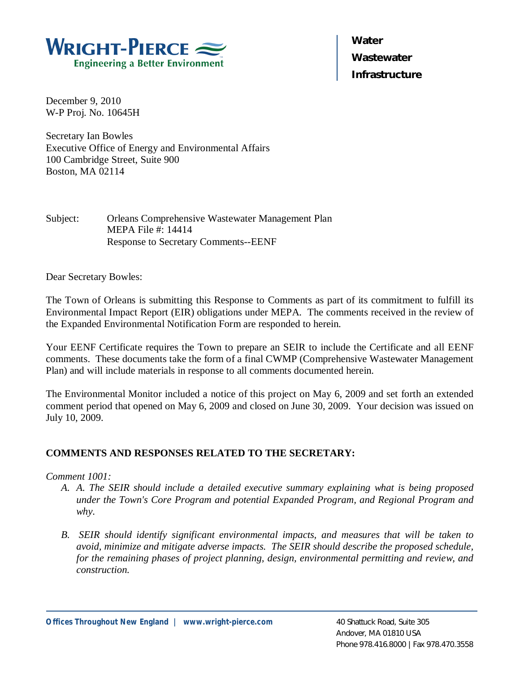

**Water Wastewater Infrastructure** 

December 9, 2010 W-P Proj. No. 10645H

Secretary Ian Bowles Executive Office of Energy and Environmental Affairs 100 Cambridge Street, Suite 900 Boston, MA 02114

Subject: Orleans Comprehensive Wastewater Management Plan MEPA File #: 14414 Response to Secretary Comments--EENF

Dear Secretary Bowles:

The Town of Orleans is submitting this Response to Comments as part of its commitment to fulfill its Environmental Impact Report (EIR) obligations under MEPA. The comments received in the review of the Expanded Environmental Notification Form are responded to herein.

Your EENF Certificate requires the Town to prepare an SEIR to include the Certificate and all EENF comments. These documents take the form of a final CWMP (Comprehensive Wastewater Management Plan) and will include materials in response to all comments documented herein.

The Environmental Monitor included a notice of this project on May 6, 2009 and set forth an extended comment period that opened on May 6, 2009 and closed on June 30, 2009. Your decision was issued on July 10, 2009.

# **COMMENTS AND RESPONSES RELATED TO THE SECRETARY:**

## *Comment 1001:*

- *A. A. The SEIR should include a detailed executive summary explaining what is being proposed under the Town's Core Program and potential Expanded Program, and Regional Program and why.*
- *B. SEIR should identify significant environmental impacts, and measures that will be taken to avoid, minimize and mitigate adverse impacts. The SEIR should describe the proposed schedule, for the remaining phases of project planning, design, environmental permitting and review, and construction.*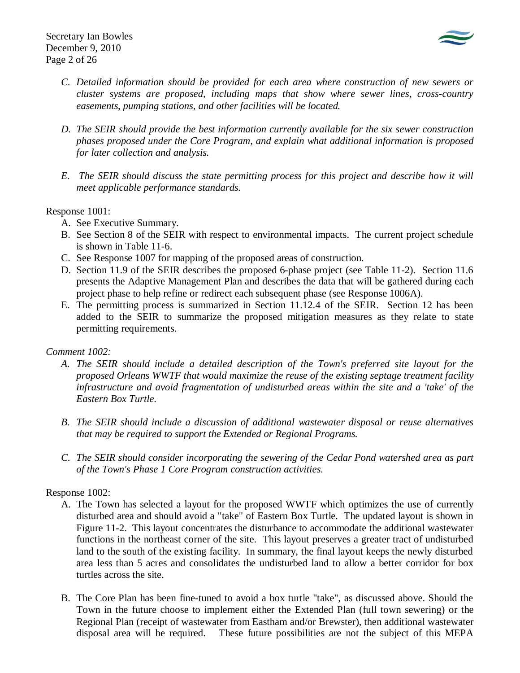

- *C. Detailed information should be provided for each area where construction of new sewers or cluster systems are proposed, including maps that show where sewer lines, cross-country easements, pumping stations, and other facilities will be located.*
- *D. The SEIR should provide the best information currently available for the six sewer construction phases proposed under the Core Program, and explain what additional information is proposed for later collection and analysis.*
- *E. The SEIR should discuss the state permitting process for this project and describe how it will meet applicable performance standards.*

## Response 1001:

- A. See Executive Summary.
- B. See Section 8 of the SEIR with respect to environmental impacts. The current project schedule is shown in Table 11-6.
- C. See Response 1007 for mapping of the proposed areas of construction.
- D. Section 11.9 of the SEIR describes the proposed 6-phase project (see Table 11-2). Section 11.6 presents the Adaptive Management Plan and describes the data that will be gathered during each project phase to help refine or redirect each subsequent phase (see Response 1006A).
- E. The permitting process is summarized in Section 11.12.4 of the SEIR. Section 12 has been added to the SEIR to summarize the proposed mitigation measures as they relate to state permitting requirements.

# *Comment 1002:*

- *A. The SEIR should include a detailed description of the Town's preferred site layout for the proposed Orleans WWTF that would maximize the reuse of the existing septage treatment facility infrastructure and avoid fragmentation of undisturbed areas within the site and a 'take' of the Eastern Box Turtle.*
- *B. The SEIR should include a discussion of additional wastewater disposal or reuse alternatives that may be required to support the Extended or Regional Programs.*
- *C. The SEIR should consider incorporating the sewering of the Cedar Pond watershed area as part of the Town's Phase 1 Core Program construction activities.*

# Response 1002:

- A. The Town has selected a layout for the proposed WWTF which optimizes the use of currently disturbed area and should avoid a "take" of Eastern Box Turtle. The updated layout is shown in Figure 11-2. This layout concentrates the disturbance to accommodate the additional wastewater functions in the northeast corner of the site. This layout preserves a greater tract of undisturbed land to the south of the existing facility. In summary, the final layout keeps the newly disturbed area less than 5 acres and consolidates the undisturbed land to allow a better corridor for box turtles across the site.
- B. The Core Plan has been fine-tuned to avoid a box turtle "take", as discussed above. Should the Town in the future choose to implement either the Extended Plan (full town sewering) or the Regional Plan (receipt of wastewater from Eastham and/or Brewster), then additional wastewater disposal area will be required. These future possibilities are not the subject of this MEPA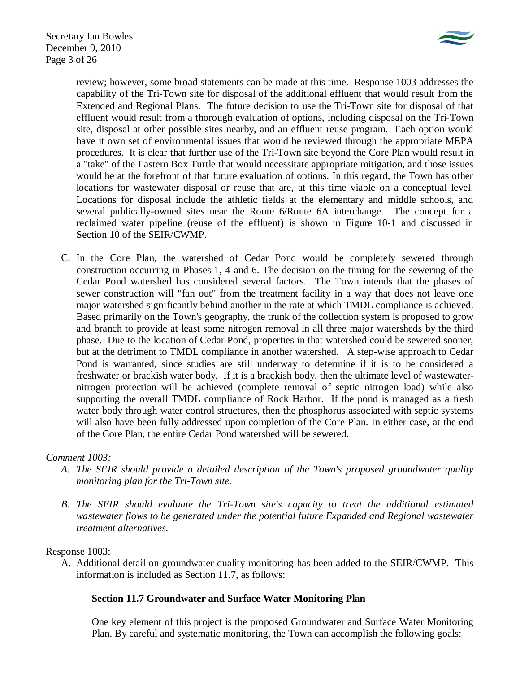

review; however, some broad statements can be made at this time. Response 1003 addresses the capability of the Tri-Town site for disposal of the additional effluent that would result from the Extended and Regional Plans. The future decision to use the Tri-Town site for disposal of that effluent would result from a thorough evaluation of options, including disposal on the Tri-Town site, disposal at other possible sites nearby, and an effluent reuse program. Each option would have it own set of environmental issues that would be reviewed through the appropriate MEPA procedures. It is clear that further use of the Tri-Town site beyond the Core Plan would result in a "take" of the Eastern Box Turtle that would necessitate appropriate mitigation, and those issues would be at the forefront of that future evaluation of options. In this regard, the Town has other locations for wastewater disposal or reuse that are, at this time viable on a conceptual level. Locations for disposal include the athletic fields at the elementary and middle schools, and several publically-owned sites near the Route 6/Route 6A interchange. The concept for a reclaimed water pipeline (reuse of the effluent) is shown in Figure 10-1 and discussed in Section 10 of the SEIR/CWMP.

C. In the Core Plan, the watershed of Cedar Pond would be completely sewered through construction occurring in Phases 1, 4 and 6. The decision on the timing for the sewering of the Cedar Pond watershed has considered several factors. The Town intends that the phases of sewer construction will "fan out" from the treatment facility in a way that does not leave one major watershed significantly behind another in the rate at which TMDL compliance is achieved. Based primarily on the Town's geography, the trunk of the collection system is proposed to grow and branch to provide at least some nitrogen removal in all three major watersheds by the third phase. Due to the location of Cedar Pond, properties in that watershed could be sewered sooner, but at the detriment to TMDL compliance in another watershed. A step-wise approach to Cedar Pond is warranted, since studies are still underway to determine if it is to be considered a freshwater or brackish water body. If it is a brackish body, then the ultimate level of wastewaternitrogen protection will be achieved (complete removal of septic nitrogen load) while also supporting the overall TMDL compliance of Rock Harbor. If the pond is managed as a fresh water body through water control structures, then the phosphorus associated with septic systems will also have been fully addressed upon completion of the Core Plan. In either case, at the end of the Core Plan, the entire Cedar Pond watershed will be sewered.

# *Comment 1003:*

- *A. The SEIR should provide a detailed description of the Town's proposed groundwater quality monitoring plan for the Tri-Town site.*
- *B. The SEIR should evaluate the Tri-Town site's capacity to treat the additional estimated wastewater flows to be generated under the potential future Expanded and Regional wastewater treatment alternatives.*

## Response 1003:

A. Additional detail on groundwater quality monitoring has been added to the SEIR/CWMP. This information is included as Section 11.7, as follows:

# **Section 11.7 Groundwater and Surface Water Monitoring Plan**

One key element of this project is the proposed Groundwater and Surface Water Monitoring Plan. By careful and systematic monitoring, the Town can accomplish the following goals: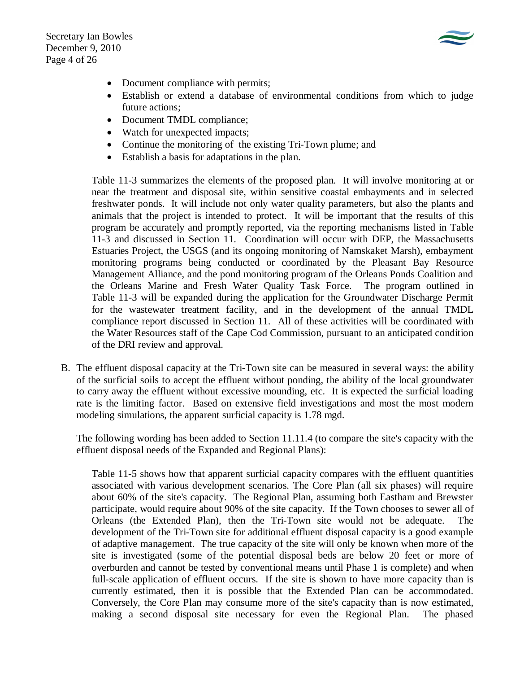Secretary Ian Bowles December 9, 2010 Page 4 of 26



- Document compliance with permits;
- Establish or extend a database of environmental conditions from which to judge future actions;
- Document TMDL compliance;
- Watch for unexpected impacts;
- Continue the monitoring of the existing Tri-Town plume; and
- Establish a basis for adaptations in the plan.

Table 11-3 summarizes the elements of the proposed plan. It will involve monitoring at or near the treatment and disposal site, within sensitive coastal embayments and in selected freshwater ponds. It will include not only water quality parameters, but also the plants and animals that the project is intended to protect. It will be important that the results of this program be accurately and promptly reported, via the reporting mechanisms listed in Table 11-3 and discussed in Section 11. Coordination will occur with DEP, the Massachusetts Estuaries Project, the USGS (and its ongoing monitoring of Namskaket Marsh), embayment monitoring programs being conducted or coordinated by the Pleasant Bay Resource Management Alliance, and the pond monitoring program of the Orleans Ponds Coalition and the Orleans Marine and Fresh Water Quality Task Force. The program outlined in Table 11-3 will be expanded during the application for the Groundwater Discharge Permit for the wastewater treatment facility, and in the development of the annual TMDL compliance report discussed in Section 11. All of these activities will be coordinated with the Water Resources staff of the Cape Cod Commission, pursuant to an anticipated condition of the DRI review and approval.

B. The effluent disposal capacity at the Tri-Town site can be measured in several ways: the ability of the surficial soils to accept the effluent without ponding, the ability of the local groundwater to carry away the effluent without excessive mounding, etc. It is expected the surficial loading rate is the limiting factor. Based on extensive field investigations and most the most modern modeling simulations, the apparent surficial capacity is 1.78 mgd.

The following wording has been added to Section 11.11.4 (to compare the site's capacity with the effluent disposal needs of the Expanded and Regional Plans):

Table 11-5 shows how that apparent surficial capacity compares with the effluent quantities associated with various development scenarios. The Core Plan (all six phases) will require about 60% of the site's capacity. The Regional Plan, assuming both Eastham and Brewster participate, would require about 90% of the site capacity. If the Town chooses to sewer all of Orleans (the Extended Plan), then the Tri-Town site would not be adequate. The development of the Tri-Town site for additional effluent disposal capacity is a good example of adaptive management. The true capacity of the site will only be known when more of the site is investigated (some of the potential disposal beds are below 20 feet or more of overburden and cannot be tested by conventional means until Phase 1 is complete) and when full-scale application of effluent occurs. If the site is shown to have more capacity than is currently estimated, then it is possible that the Extended Plan can be accommodated. Conversely, the Core Plan may consume more of the site's capacity than is now estimated, making a second disposal site necessary for even the Regional Plan. The phased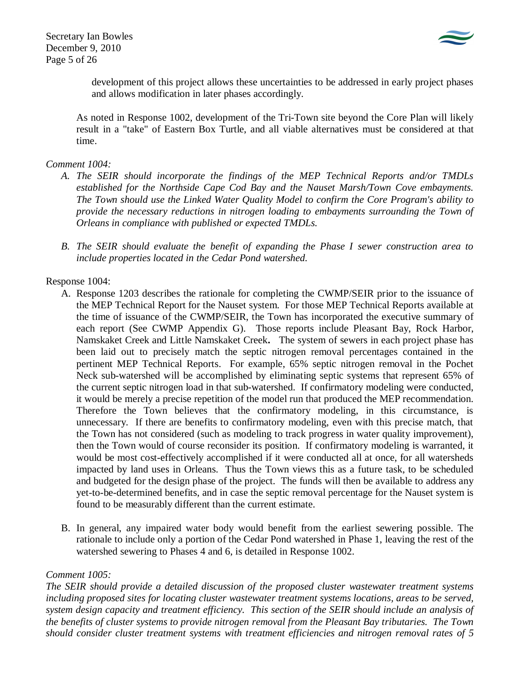Secretary Ian Bowles December 9, 2010 Page 5 of 26



development of this project allows these uncertainties to be addressed in early project phases and allows modification in later phases accordingly.

As noted in Response 1002, development of the Tri-Town site beyond the Core Plan will likely result in a "take" of Eastern Box Turtle, and all viable alternatives must be considered at that time.

## *Comment 1004:*

- *A. The SEIR should incorporate the findings of the MEP Technical Reports and/or TMDLs established for the Northside Cape Cod Bay and the Nauset Marsh/Town Cove embayments. The Town should use the Linked Water Quality Model to confirm the Core Program's ability to provide the necessary reductions in nitrogen loading to embayments surrounding the Town of Orleans in compliance with published or expected TMDLs.*
- *B. The SEIR should evaluate the benefit of expanding the Phase I sewer construction area to include properties located in the Cedar Pond watershed.*

## Response 1004:

- A. Response 1203 describes the rationale for completing the CWMP/SEIR prior to the issuance of the MEP Technical Report for the Nauset system. For those MEP Technical Reports available at the time of issuance of the CWMP/SEIR, the Town has incorporated the executive summary of each report (See CWMP Appendix G). Those reports include Pleasant Bay, Rock Harbor, Namskaket Creek and Little Namskaket Creek**.** The system of sewers in each project phase has been laid out to precisely match the septic nitrogen removal percentages contained in the pertinent MEP Technical Reports. For example, 65% septic nitrogen removal in the Pochet Neck sub-watershed will be accomplished by eliminating septic systems that represent 65% of the current septic nitrogen load in that sub-watershed. If confirmatory modeling were conducted, it would be merely a precise repetition of the model run that produced the MEP recommendation. Therefore the Town believes that the confirmatory modeling, in this circumstance, is unnecessary. If there are benefits to confirmatory modeling, even with this precise match, that the Town has not considered (such as modeling to track progress in water quality improvement), then the Town would of course reconsider its position. If confirmatory modeling is warranted, it would be most cost-effectively accomplished if it were conducted all at once, for all watersheds impacted by land uses in Orleans. Thus the Town views this as a future task, to be scheduled and budgeted for the design phase of the project. The funds will then be available to address any yet-to-be-determined benefits, and in case the septic removal percentage for the Nauset system is found to be measurably different than the current estimate.
- B. In general, any impaired water body would benefit from the earliest sewering possible. The rationale to include only a portion of the Cedar Pond watershed in Phase 1, leaving the rest of the watershed sewering to Phases 4 and 6, is detailed in Response 1002.

## *Comment 1005:*

*The SEIR should provide a detailed discussion of the proposed cluster wastewater treatment systems including proposed sites for locating cluster wastewater treatment systems locations, areas to be served, system design capacity and treatment efficiency. This section of the SEIR should include an analysis of the benefits of cluster systems to provide nitrogen removal from the Pleasant Bay tributaries. The Town should consider cluster treatment systems with treatment efficiencies and nitrogen removal rates of 5*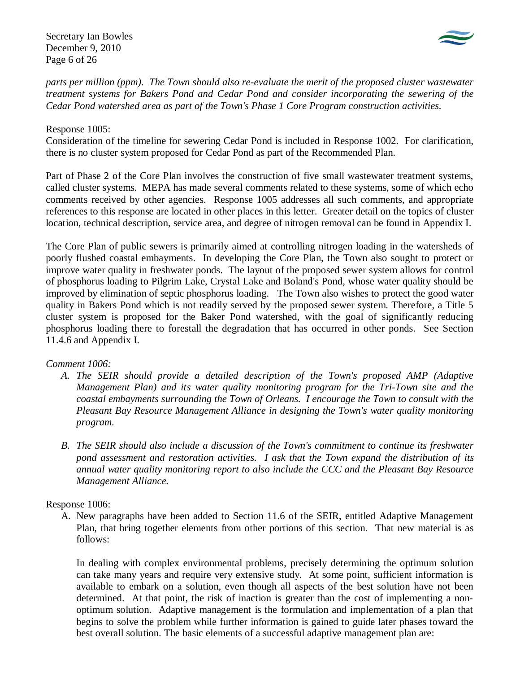Secretary Ian Bowles December 9, 2010 Page 6 of 26



*parts per million (ppm). The Town should also re-evaluate the merit of the proposed cluster wastewater treatment systems for Bakers Pond and Cedar Pond and consider incorporating the sewering of the Cedar Pond watershed area as part of the Town's Phase 1 Core Program construction activities.* 

## Response 1005:

Consideration of the timeline for sewering Cedar Pond is included in Response 1002. For clarification, there is no cluster system proposed for Cedar Pond as part of the Recommended Plan.

Part of Phase 2 of the Core Plan involves the construction of five small wastewater treatment systems, called cluster systems. MEPA has made several comments related to these systems, some of which echo comments received by other agencies. Response 1005 addresses all such comments, and appropriate references to this response are located in other places in this letter. Greater detail on the topics of cluster location, technical description, service area, and degree of nitrogen removal can be found in Appendix I.

The Core Plan of public sewers is primarily aimed at controlling nitrogen loading in the watersheds of poorly flushed coastal embayments. In developing the Core Plan, the Town also sought to protect or improve water quality in freshwater ponds. The layout of the proposed sewer system allows for control of phosphorus loading to Pilgrim Lake, Crystal Lake and Boland's Pond, whose water quality should be improved by elimination of septic phosphorus loading. The Town also wishes to protect the good water quality in Bakers Pond which is not readily served by the proposed sewer system. Therefore, a Title 5 cluster system is proposed for the Baker Pond watershed, with the goal of significantly reducing phosphorus loading there to forestall the degradation that has occurred in other ponds. See Section 11.4.6 and Appendix I.

## *Comment 1006:*

- *A. The SEIR should provide a detailed description of the Town's proposed AMP (Adaptive Management Plan) and its water quality monitoring program for the Tri-Town site and the coastal embayments surrounding the Town of Orleans. I encourage the Town to consult with the Pleasant Bay Resource Management Alliance in designing the Town's water quality monitoring program.*
- *B. The SEIR should also include a discussion of the Town's commitment to continue its freshwater pond assessment and restoration activities. I ask that the Town expand the distribution of its annual water quality monitoring report to also include the CCC and the Pleasant Bay Resource Management Alliance.*

## Response 1006:

A. New paragraphs have been added to Section 11.6 of the SEIR, entitled Adaptive Management Plan, that bring together elements from other portions of this section. That new material is as follows:

In dealing with complex environmental problems, precisely determining the optimum solution can take many years and require very extensive study. At some point, sufficient information is available to embark on a solution, even though all aspects of the best solution have not been determined. At that point, the risk of inaction is greater than the cost of implementing a nonoptimum solution. Adaptive management is the formulation and implementation of a plan that begins to solve the problem while further information is gained to guide later phases toward the best overall solution. The basic elements of a successful adaptive management plan are: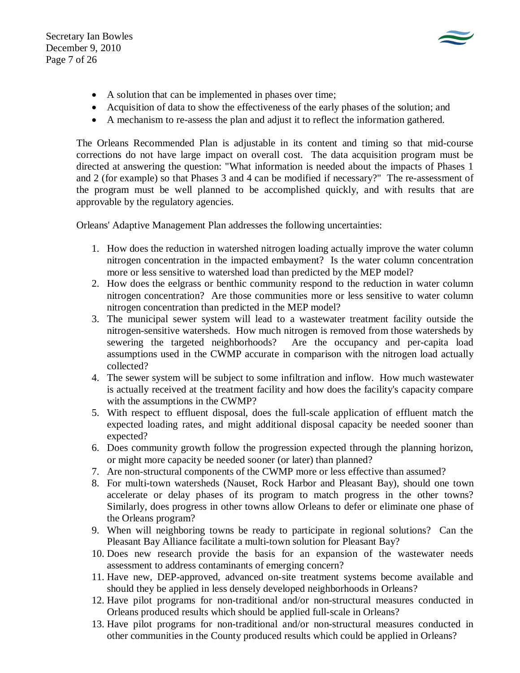Secretary Ian Bowles December 9, 2010 Page 7 of 26



- A solution that can be implemented in phases over time;
- Acquisition of data to show the effectiveness of the early phases of the solution; and
- A mechanism to re-assess the plan and adjust it to reflect the information gathered.

The Orleans Recommended Plan is adjustable in its content and timing so that mid-course corrections do not have large impact on overall cost. The data acquisition program must be directed at answering the question: "What information is needed about the impacts of Phases 1 and 2 (for example) so that Phases 3 and 4 can be modified if necessary?" The re-assessment of the program must be well planned to be accomplished quickly, and with results that are approvable by the regulatory agencies.

Orleans' Adaptive Management Plan addresses the following uncertainties:

- 1. How does the reduction in watershed nitrogen loading actually improve the water column nitrogen concentration in the impacted embayment? Is the water column concentration more or less sensitive to watershed load than predicted by the MEP model?
- 2. How does the eelgrass or benthic community respond to the reduction in water column nitrogen concentration? Are those communities more or less sensitive to water column nitrogen concentration than predicted in the MEP model?
- 3. The municipal sewer system will lead to a wastewater treatment facility outside the nitrogen-sensitive watersheds. How much nitrogen is removed from those watersheds by sewering the targeted neighborhoods? Are the occupancy and per-capita load assumptions used in the CWMP accurate in comparison with the nitrogen load actually collected?
- 4. The sewer system will be subject to some infiltration and inflow. How much wastewater is actually received at the treatment facility and how does the facility's capacity compare with the assumptions in the CWMP?
- 5. With respect to effluent disposal, does the full-scale application of effluent match the expected loading rates, and might additional disposal capacity be needed sooner than expected?
- 6. Does community growth follow the progression expected through the planning horizon, or might more capacity be needed sooner (or later) than planned?
- 7. Are non-structural components of the CWMP more or less effective than assumed?
- 8. For multi-town watersheds (Nauset, Rock Harbor and Pleasant Bay), should one town accelerate or delay phases of its program to match progress in the other towns? Similarly, does progress in other towns allow Orleans to defer or eliminate one phase of the Orleans program?
- 9. When will neighboring towns be ready to participate in regional solutions? Can the Pleasant Bay Alliance facilitate a multi-town solution for Pleasant Bay?
- 10. Does new research provide the basis for an expansion of the wastewater needs assessment to address contaminants of emerging concern?
- 11. Have new, DEP-approved, advanced on-site treatment systems become available and should they be applied in less densely developed neighborhoods in Orleans?
- 12. Have pilot programs for non-traditional and/or non-structural measures conducted in Orleans produced results which should be applied full-scale in Orleans?
- 13. Have pilot programs for non-traditional and/or non-structural measures conducted in other communities in the County produced results which could be applied in Orleans?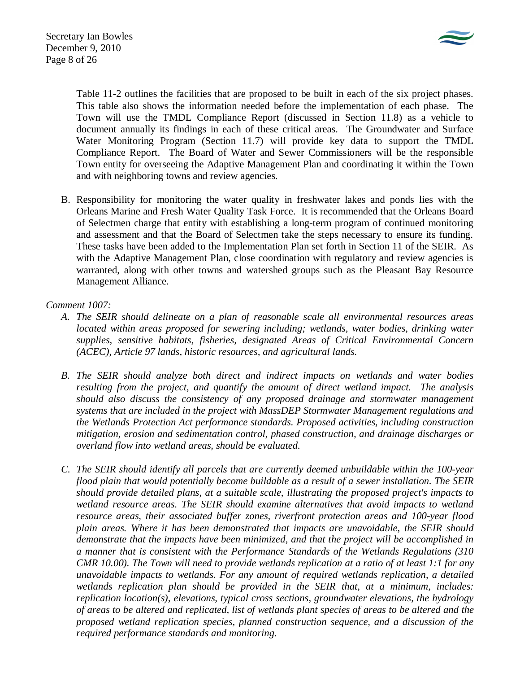

Table 11-2 outlines the facilities that are proposed to be built in each of the six project phases. This table also shows the information needed before the implementation of each phase. The Town will use the TMDL Compliance Report (discussed in Section 11.8) as a vehicle to document annually its findings in each of these critical areas. The Groundwater and Surface Water Monitoring Program (Section 11.7) will provide key data to support the TMDL Compliance Report. The Board of Water and Sewer Commissioners will be the responsible Town entity for overseeing the Adaptive Management Plan and coordinating it within the Town and with neighboring towns and review agencies.

B. Responsibility for monitoring the water quality in freshwater lakes and ponds lies with the Orleans Marine and Fresh Water Quality Task Force. It is recommended that the Orleans Board of Selectmen charge that entity with establishing a long-term program of continued monitoring and assessment and that the Board of Selectmen take the steps necessary to ensure its funding. These tasks have been added to the Implementation Plan set forth in Section 11 of the SEIR. As with the Adaptive Management Plan, close coordination with regulatory and review agencies is warranted, along with other towns and watershed groups such as the Pleasant Bay Resource Management Alliance.

## *Comment 1007:*

- *A. The SEIR should delineate on a plan of reasonable scale all environmental resources areas located within areas proposed for sewering including; wetlands, water bodies, drinking water supplies, sensitive habitats, fisheries, designated Areas of Critical Environmental Concern (ACEC), Article 97 lands, historic resources, and agricultural lands.*
- *B. The SEIR should analyze both direct and indirect impacts on wetlands and water bodies resulting from the project, and quantify the amount of direct wetland impact. The analysis should also discuss the consistency of any proposed drainage and stormwater management systems that are included in the project with MassDEP Stormwater Management regulations and the Wetlands Protection Act performance standards. Proposed activities, including construction mitigation, erosion and sedimentation control, phased construction, and drainage discharges or overland flow into wetland areas, should be evaluated.*
- *C. The SEIR should identify all parcels that are currently deemed unbuildable within the 100-year flood plain that would potentially become buildable as a result of a sewer installation. The SEIR should provide detailed plans, at a suitable scale, illustrating the proposed project's impacts to wetland resource areas. The SEIR should examine alternatives that avoid impacts to wetland resource areas, their associated buffer zones, riverfront protection areas and 100-year flood plain areas. Where it has been demonstrated that impacts are unavoidable, the SEIR should demonstrate that the impacts have been minimized, and that the project will be accomplished in a manner that is consistent with the Performance Standards of the Wetlands Regulations (310 CMR 10.00). The Town will need to provide wetlands replication at a ratio of at least 1:1 for any unavoidable impacts to wetlands. For any amount of required wetlands replication, a detailed wetlands replication plan should be provided in the SEIR that, at a minimum, includes: replication location(s), elevations, typical cross sections, groundwater elevations, the hydrology of areas to be altered and replicated, list of wetlands plant species of areas to be altered and the proposed wetland replication species, planned construction sequence, and a discussion of the required performance standards and monitoring.*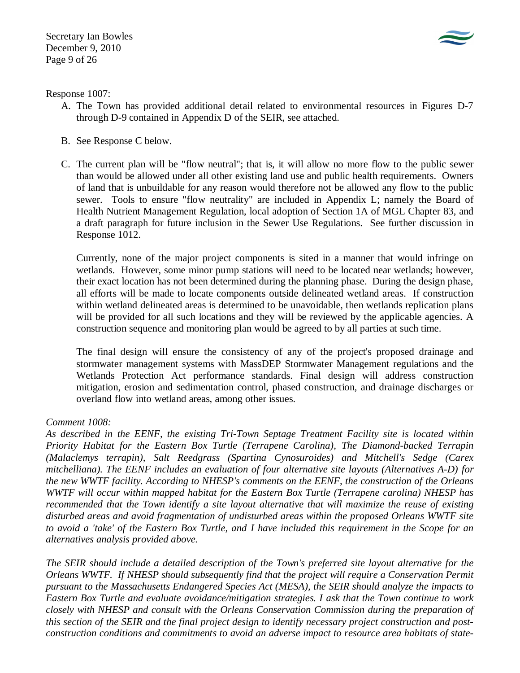

Response 1007:

- A. The Town has provided additional detail related to environmental resources in Figures D-7 through D-9 contained in Appendix D of the SEIR, see attached.
- B. See Response C below.
- C. The current plan will be "flow neutral"; that is, it will allow no more flow to the public sewer than would be allowed under all other existing land use and public health requirements. Owners of land that is unbuildable for any reason would therefore not be allowed any flow to the public sewer. Tools to ensure "flow neutrality" are included in Appendix L; namely the Board of Health Nutrient Management Regulation, local adoption of Section 1A of MGL Chapter 83, and a draft paragraph for future inclusion in the Sewer Use Regulations. See further discussion in Response 1012.

Currently, none of the major project components is sited in a manner that would infringe on wetlands. However, some minor pump stations will need to be located near wetlands; however, their exact location has not been determined during the planning phase. During the design phase, all efforts will be made to locate components outside delineated wetland areas. If construction within wetland delineated areas is determined to be unavoidable, then wetlands replication plans will be provided for all such locations and they will be reviewed by the applicable agencies. A construction sequence and monitoring plan would be agreed to by all parties at such time.

The final design will ensure the consistency of any of the project's proposed drainage and stormwater management systems with MassDEP Stormwater Management regulations and the Wetlands Protection Act performance standards. Final design will address construction mitigation, erosion and sedimentation control, phased construction, and drainage discharges or overland flow into wetland areas, among other issues.

# *Comment 1008:*

*As described in the EENF, the existing Tri-Town Septage Treatment Facility site is located within Priority Habitat for the Eastern Box Turtle (Terrapene Carolina), The Diamond-backed Terrapin (Malaclemys terrapin), Salt Reedgrass (Spartina Cynosuroides) and Mitchell's Sedge (Carex mitchelliana). The EENF includes an evaluation of four alternative site layouts (Alternatives A-D) for the new WWTF facility. According to NHESP's comments on the EENF, the construction of the Orleans WWTF will occur within mapped habitat for the Eastern Box Turtle (Terrapene carolina) NHESP has recommended that the Town identify a site layout alternative that will maximize the reuse of existing disturbed areas and avoid fragmentation of undisturbed areas within the proposed Orleans WWTF site to avoid a 'take' of the Eastern Box Turtle, and I have included this requirement in the Scope for an alternatives analysis provided above.* 

*The SEIR should include a detailed description of the Town's preferred site layout alternative for the Orleans WWTF. If NHESP should subsequently find that the project will require a Conservation Permit pursuant to the Massachusetts Endangered Species Act (MESA), the SEIR should analyze the impacts to Eastern Box Turtle and evaluate avoidance/mitigation strategies. I ask that the Town continue to work closely with NHESP and consult with the Orleans Conservation Commission during the preparation of this section of the SEIR and the final project design to identify necessary project construction and postconstruction conditions and commitments to avoid an adverse impact to resource area habitats of state-*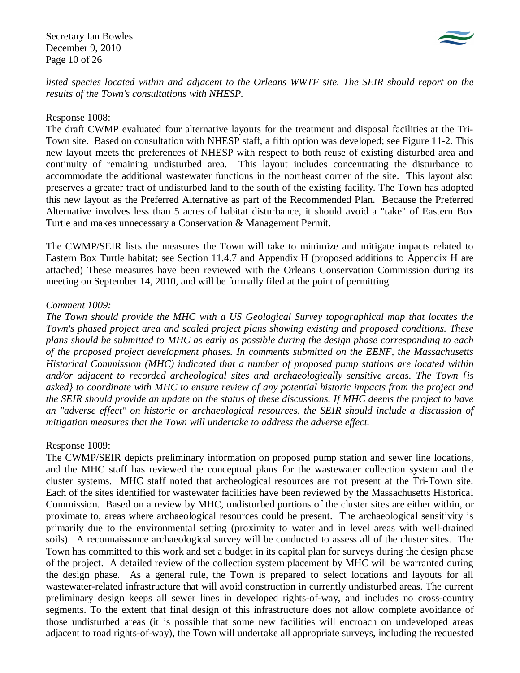Secretary Ian Bowles December 9, 2010 Page 10 of 26



*listed species located within and adjacent to the Orleans WWTF site. The SEIR should report on the results of the Town's consultations with NHESP.* 

### Response 1008:

The draft CWMP evaluated four alternative layouts for the treatment and disposal facilities at the Tri-Town site. Based on consultation with NHESP staff, a fifth option was developed; see Figure 11-2. This new layout meets the preferences of NHESP with respect to both reuse of existing disturbed area and continuity of remaining undisturbed area. This layout includes concentrating the disturbance to accommodate the additional wastewater functions in the northeast corner of the site. This layout also preserves a greater tract of undisturbed land to the south of the existing facility. The Town has adopted this new layout as the Preferred Alternative as part of the Recommended Plan. Because the Preferred Alternative involves less than 5 acres of habitat disturbance, it should avoid a "take" of Eastern Box Turtle and makes unnecessary a Conservation & Management Permit.

The CWMP/SEIR lists the measures the Town will take to minimize and mitigate impacts related to Eastern Box Turtle habitat; see Section 11.4.7 and Appendix H (proposed additions to Appendix H are attached) These measures have been reviewed with the Orleans Conservation Commission during its meeting on September 14, 2010, and will be formally filed at the point of permitting.

## *Comment 1009:*

*The Town should provide the MHC with a US Geological Survey topographical map that locates the Town's phased project area and scaled project plans showing existing and proposed conditions. These plans should be submitted to MHC as early as possible during the design phase corresponding to each of the proposed project development phases. In comments submitted on the EENF, the Massachusetts Historical Commission (MHC) indicated that a number of proposed pump stations are located within and/or adjacent to recorded archeological sites and archaeologically sensitive areas. The Town {is asked} to coordinate with MHC to ensure review of any potential historic impacts from the project and the SEIR should provide an update on the status of these discussions. If MHC deems the project to have an "adverse effect" on historic or archaeological resources, the SEIR should include a discussion of mitigation measures that the Town will undertake to address the adverse effect.* 

### Response 1009:

The CWMP/SEIR depicts preliminary information on proposed pump station and sewer line locations, and the MHC staff has reviewed the conceptual plans for the wastewater collection system and the cluster systems. MHC staff noted that archeological resources are not present at the Tri-Town site. Each of the sites identified for wastewater facilities have been reviewed by the Massachusetts Historical Commission. Based on a review by MHC, undisturbed portions of the cluster sites are either within, or proximate to, areas where archaeological resources could be present. The archaeological sensitivity is primarily due to the environmental setting (proximity to water and in level areas with well-drained soils). A reconnaissance archaeological survey will be conducted to assess all of the cluster sites. The Town has committed to this work and set a budget in its capital plan for surveys during the design phase of the project. A detailed review of the collection system placement by MHC will be warranted during the design phase. As a general rule, the Town is prepared to select locations and layouts for all wastewater-related infrastructure that will avoid construction in currently undisturbed areas. The current preliminary design keeps all sewer lines in developed rights-of-way, and includes no cross-country segments. To the extent that final design of this infrastructure does not allow complete avoidance of those undisturbed areas (it is possible that some new facilities will encroach on undeveloped areas adjacent to road rights-of-way), the Town will undertake all appropriate surveys, including the requested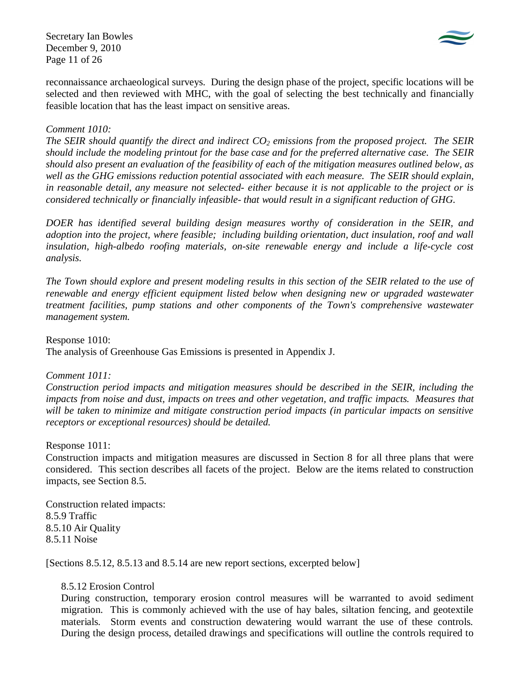Secretary Ian Bowles December 9, 2010 Page 11 of 26



reconnaissance archaeological surveys. During the design phase of the project, specific locations will be selected and then reviewed with MHC, with the goal of selecting the best technically and financially feasible location that has the least impact on sensitive areas.

## *Comment 1010:*

*The SEIR should quantify the direct and indirect CO2 emissions from the proposed project. The SEIR should include the modeling printout for the base case and for the preferred alternative case. The SEIR should also present an evaluation of the feasibility of each of the mitigation measures outlined below, as well as the GHG emissions reduction potential associated with each measure. The SEIR should explain, in reasonable detail, any measure not selected- either because it is not applicable to the project or is considered technically or financially infeasible- that would result in a significant reduction of GHG.* 

*DOER has identified several building design measures worthy of consideration in the SEIR, and adoption into the project, where feasible; including building orientation, duct insulation, roof and wall insulation, high-albedo roofing materials, on-site renewable energy and include a life-cycle cost analysis.* 

*The Town should explore and present modeling results in this section of the SEIR related to the use of renewable and energy efficient equipment listed below when designing new or upgraded wastewater treatment facilities, pump stations and other components of the Town's comprehensive wastewater management system.* 

Response 1010:

The analysis of Greenhouse Gas Emissions is presented in Appendix J.

## *Comment 1011:*

*Construction period impacts and mitigation measures should be described in the SEIR, including the impacts from noise and dust, impacts on trees and other vegetation, and traffic impacts. Measures that will be taken to minimize and mitigate construction period impacts (in particular impacts on sensitive receptors or exceptional resources) should be detailed.* 

Response 1011:

Construction impacts and mitigation measures are discussed in Section 8 for all three plans that were considered. This section describes all facets of the project. Below are the items related to construction impacts, see Section 8.5.

Construction related impacts: 8.5.9 Traffic 8.5.10 Air Quality 8.5.11 Noise

[Sections 8.5.12, 8.5.13 and 8.5.14 are new report sections, excerpted below]

## 8.5.12 Erosion Control

During construction, temporary erosion control measures will be warranted to avoid sediment migration. This is commonly achieved with the use of hay bales, siltation fencing, and geotextile materials. Storm events and construction dewatering would warrant the use of these controls. During the design process, detailed drawings and specifications will outline the controls required to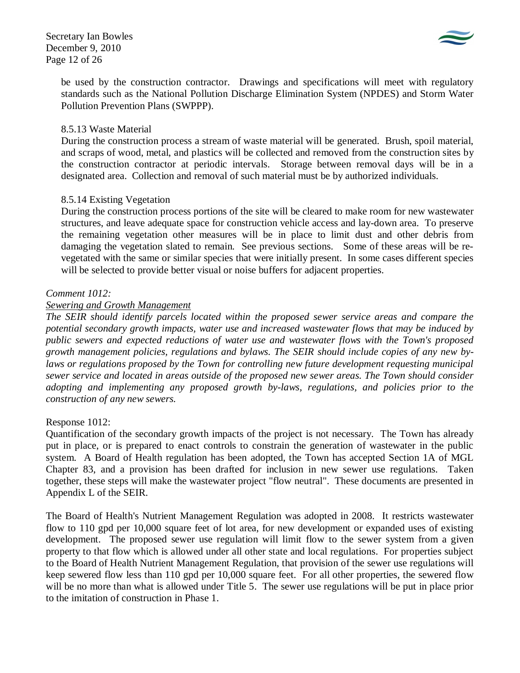

be used by the construction contractor. Drawings and specifications will meet with regulatory standards such as the National Pollution Discharge Elimination System (NPDES) and Storm Water Pollution Prevention Plans (SWPPP).

## 8.5.13 Waste Material

During the construction process a stream of waste material will be generated. Brush, spoil material, and scraps of wood, metal, and plastics will be collected and removed from the construction sites by the construction contractor at periodic intervals. Storage between removal days will be in a designated area. Collection and removal of such material must be by authorized individuals.

## 8.5.14 Existing Vegetation

During the construction process portions of the site will be cleared to make room for new wastewater structures, and leave adequate space for construction vehicle access and lay-down area. To preserve the remaining vegetation other measures will be in place to limit dust and other debris from damaging the vegetation slated to remain. See previous sections. Some of these areas will be revegetated with the same or similar species that were initially present. In some cases different species will be selected to provide better visual or noise buffers for adjacent properties.

## *Comment 1012:*

## *Sewering and Growth Management*

*The SEIR should identify parcels located within the proposed sewer service areas and compare the potential secondary growth impacts, water use and increased wastewater flows that may be induced by public sewers and expected reductions of water use and wastewater flows with the Town's proposed growth management policies, regulations and bylaws. The SEIR should include copies of any new by*laws or regulations proposed by the Town for controlling new future development requesting municipal *sewer service and located in areas outside of the proposed new sewer areas. The Town should consider adopting and implementing any proposed growth by-laws, regulations, and policies prior to the construction of any new sewers.* 

### Response 1012:

Quantification of the secondary growth impacts of the project is not necessary. The Town has already put in place, or is prepared to enact controls to constrain the generation of wastewater in the public system. A Board of Health regulation has been adopted, the Town has accepted Section 1A of MGL Chapter 83, and a provision has been drafted for inclusion in new sewer use regulations. Taken together, these steps will make the wastewater project "flow neutral". These documents are presented in Appendix L of the SEIR.

The Board of Health's Nutrient Management Regulation was adopted in 2008. It restricts wastewater flow to 110 gpd per 10,000 square feet of lot area, for new development or expanded uses of existing development. The proposed sewer use regulation will limit flow to the sewer system from a given property to that flow which is allowed under all other state and local regulations. For properties subject to the Board of Health Nutrient Management Regulation, that provision of the sewer use regulations will keep sewered flow less than 110 gpd per 10,000 square feet. For all other properties, the sewered flow will be no more than what is allowed under Title 5. The sewer use regulations will be put in place prior to the imitation of construction in Phase 1.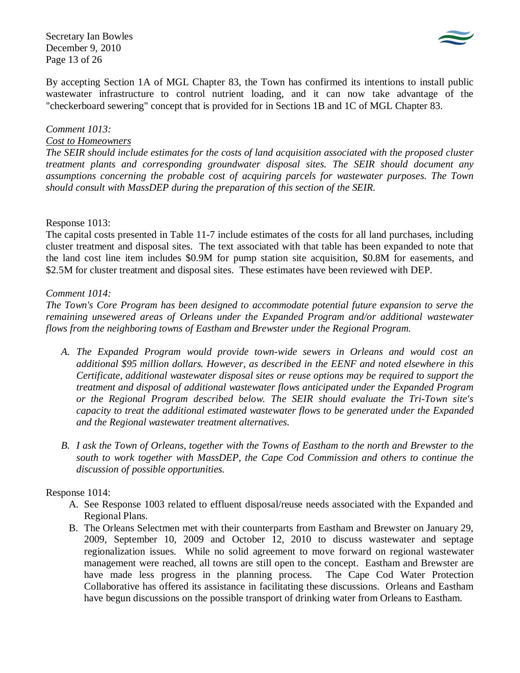Secretary Ian Bowles December 9, 2010 Page 13 of 26



By accepting Section 1A of MGL Chapter 83, the Town has confirmed its intentions to install public wastewater infrastructure to control nutrient loading, and it can now take advantage of the "checkerboard sewering" concept that is provided for in Sections 1B and 1C of MGL Chapter 83.

## *Comment 1013:*

### *Cost to Homeowners*

*The SEIR should include estimates for the costs of land acquisition associated with the proposed cluster treatment plants and corresponding groundwater disposal sites. The SEIR should document any assumptions concerning the probable cost of acquiring parcels for wastewater purposes. The Town should consult with MassDEP during the preparation of this section of the SEIR.* 

### Response 1013:

The capital costs presented in Table 11-7 include estimates of the costs for all land purchases, including cluster treatment and disposal sites. The text associated with that table has been expanded to note that the land cost line item includes \$0.9M for pump station site acquisition, \$0.8M for easements, and \$2.5M for cluster treatment and disposal sites. These estimates have been reviewed with DEP.

### *Comment 1014:*

*The Town's Core Program has been designed to accommodate potential future expansion to serve the remaining unsewered areas of Orleans under the Expanded Program and/or additional wastewater flows from the neighboring towns of Eastham and Brewster under the Regional Program.* 

- *A. The Expanded Program would provide town-wide sewers in Orleans and would cost an additional \$95 million dollars. However, as described in the EENF and noted elsewhere in this Certificate, additional wastewater disposal sites or reuse options may be required to support the treatment and disposal of additional wastewater flows anticipated under the Expanded Program or the Regional Program described below. The SEIR should evaluate the Tri-Town site's capacity to treat the additional estimated wastewater flows to be generated under the Expanded and the Regional wastewater treatment alternatives.*
- *B. I ask the Town of Orleans, together with the Towns of Eastham to the north and Brewster to the south to work together with MassDEP, the Cape Cod Commission and others to continue the discussion of possible opportunities.*

## Response 1014:

- A. See Response 1003 related to effluent disposal/reuse needs associated with the Expanded and Regional Plans.
- B. The Orleans Selectmen met with their counterparts from Eastham and Brewster on January 29, 2009, September 10, 2009 and October 12, 2010 to discuss wastewater and septage regionalization issues. While no solid agreement to move forward on regional wastewater management were reached, all towns are still open to the concept. Eastham and Brewster are have made less progress in the planning process. The Cape Cod Water Protection Collaborative has offered its assistance in facilitating these discussions. Orleans and Eastham have begun discussions on the possible transport of drinking water from Orleans to Eastham.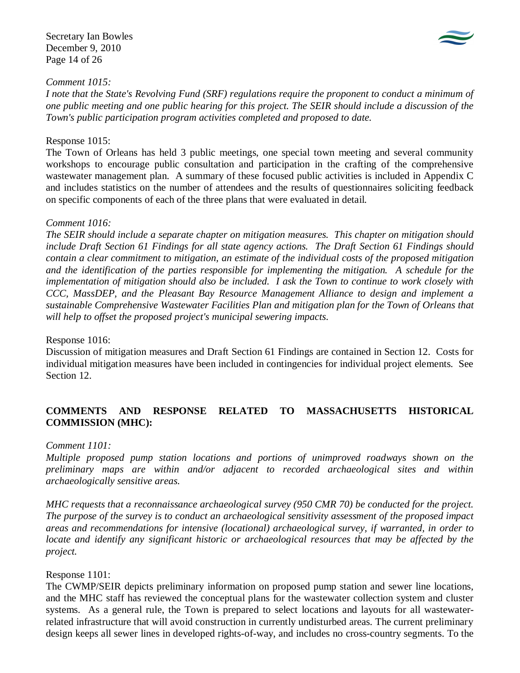Secretary Ian Bowles December 9, 2010 Page 14 of 26



## *Comment 1015:*

*I note that the State's Revolving Fund (SRF) regulations require the proponent to conduct a minimum of one public meeting and one public hearing for this project. The SEIR should include a discussion of the Town's public participation program activities completed and proposed to date.* 

## Response 1015:

The Town of Orleans has held 3 public meetings, one special town meeting and several community workshops to encourage public consultation and participation in the crafting of the comprehensive wastewater management plan. A summary of these focused public activities is included in Appendix C and includes statistics on the number of attendees and the results of questionnaires soliciting feedback on specific components of each of the three plans that were evaluated in detail.

### *Comment 1016:*

*The SEIR should include a separate chapter on mitigation measures. This chapter on mitigation should include Draft Section 61 Findings for all state agency actions. The Draft Section 61 Findings should contain a clear commitment to mitigation, an estimate of the individual costs of the proposed mitigation and the identification of the parties responsible for implementing the mitigation. A schedule for the implementation of mitigation should also be included. I ask the Town to continue to work closely with CCC, MassDEP, and the Pleasant Bay Resource Management Alliance to design and implement a sustainable Comprehensive Wastewater Facilities Plan and mitigation plan for the Town of Orleans that will help to offset the proposed project's municipal sewering impacts.* 

### Response 1016:

Discussion of mitigation measures and Draft Section 61 Findings are contained in Section 12. Costs for individual mitigation measures have been included in contingencies for individual project elements. See Section 12.

# **COMMENTS AND RESPONSE RELATED TO MASSACHUSETTS HISTORICAL COMMISSION (MHC):**

## *Comment 1101:*

*Multiple proposed pump station locations and portions of unimproved roadways shown on the preliminary maps are within and/or adjacent to recorded archaeological sites and within archaeologically sensitive areas.* 

*MHC requests that a reconnaissance archaeological survey (950 CMR 70) be conducted for the project. The purpose of the survey is to conduct an archaeological sensitivity assessment of the proposed impact areas and recommendations for intensive (locational) archaeological survey, if warranted, in order to locate and identify any significant historic or archaeological resources that may be affected by the project.* 

## Response 1101:

The CWMP/SEIR depicts preliminary information on proposed pump station and sewer line locations, and the MHC staff has reviewed the conceptual plans for the wastewater collection system and cluster systems. As a general rule, the Town is prepared to select locations and layouts for all wastewaterrelated infrastructure that will avoid construction in currently undisturbed areas. The current preliminary design keeps all sewer lines in developed rights-of-way, and includes no cross-country segments. To the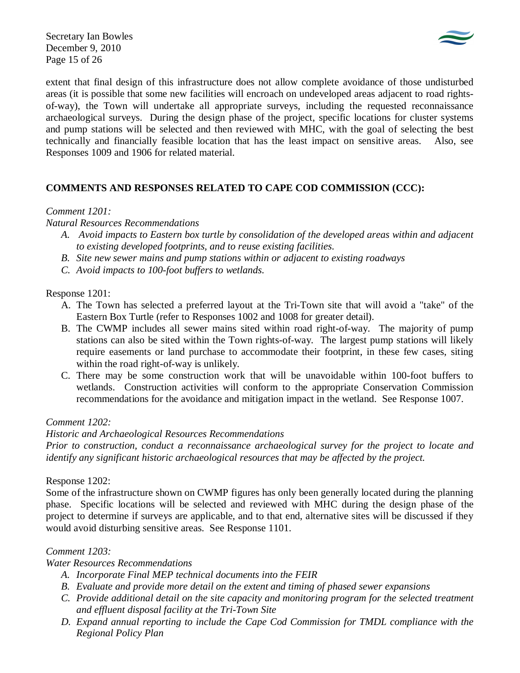Secretary Ian Bowles December 9, 2010 Page 15 of 26



extent that final design of this infrastructure does not allow complete avoidance of those undisturbed areas (it is possible that some new facilities will encroach on undeveloped areas adjacent to road rightsof-way), the Town will undertake all appropriate surveys, including the requested reconnaissance archaeological surveys. During the design phase of the project, specific locations for cluster systems and pump stations will be selected and then reviewed with MHC, with the goal of selecting the best technically and financially feasible location that has the least impact on sensitive areas. Also, see Responses 1009 and 1906 for related material.

# **COMMENTS AND RESPONSES RELATED TO CAPE COD COMMISSION (CCC):**

# *Comment 1201:*

*Natural Resources Recommendations* 

- *A. Avoid impacts to Eastern box turtle by consolidation of the developed areas within and adjacent to existing developed footprints, and to reuse existing facilities.*
- *B. Site new sewer mains and pump stations within or adjacent to existing roadways*
- *C. Avoid impacts to 100-foot buffers to wetlands.*

Response 1201:

- A. The Town has selected a preferred layout at the Tri-Town site that will avoid a "take" of the Eastern Box Turtle (refer to Responses 1002 and 1008 for greater detail).
- B. The CWMP includes all sewer mains sited within road right-of-way. The majority of pump stations can also be sited within the Town rights-of-way. The largest pump stations will likely require easements or land purchase to accommodate their footprint, in these few cases, siting within the road right-of-way is unlikely.
- C. There may be some construction work that will be unavoidable within 100-foot buffers to wetlands. Construction activities will conform to the appropriate Conservation Commission recommendations for the avoidance and mitigation impact in the wetland. See Response 1007.

## *Comment 1202:*

## *Historic and Archaeological Resources Recommendations*

*Prior to construction, conduct a reconnaissance archaeological survey for the project to locate and identify any significant historic archaeological resources that may be affected by the project.* 

## Response 1202:

Some of the infrastructure shown on CWMP figures has only been generally located during the planning phase. Specific locations will be selected and reviewed with MHC during the design phase of the project to determine if surveys are applicable, and to that end, alternative sites will be discussed if they would avoid disturbing sensitive areas. See Response 1101.

## *Comment 1203:*

*Water Resources Recommendations* 

- *A. Incorporate Final MEP technical documents into the FEIR*
- *B. Evaluate and provide more detail on the extent and timing of phased sewer expansions*
- *C. Provide additional detail on the site capacity and monitoring program for the selected treatment and effluent disposal facility at the Tri-Town Site*
- *D. Expand annual reporting to include the Cape Cod Commission for TMDL compliance with the Regional Policy Plan*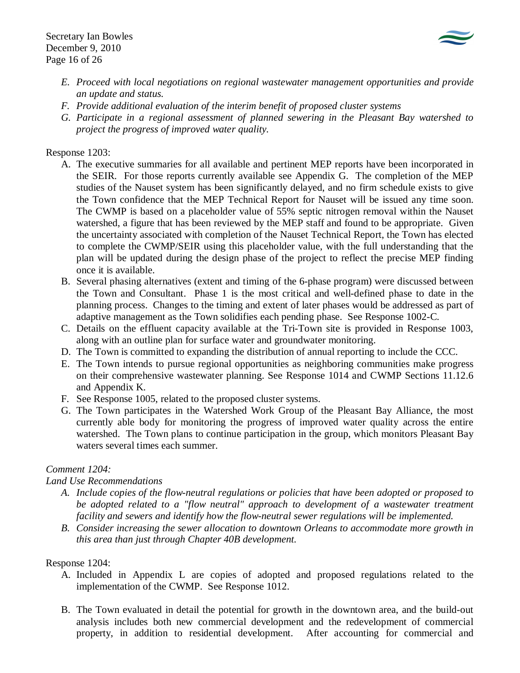

- *E. Proceed with local negotiations on regional wastewater management opportunities and provide an update and status.*
- *F. Provide additional evaluation of the interim benefit of proposed cluster systems*
- *G. Participate in a regional assessment of planned sewering in the Pleasant Bay watershed to project the progress of improved water quality.*

## Response 1203:

- A. The executive summaries for all available and pertinent MEP reports have been incorporated in the SEIR. For those reports currently available see Appendix G. The completion of the MEP studies of the Nauset system has been significantly delayed, and no firm schedule exists to give the Town confidence that the MEP Technical Report for Nauset will be issued any time soon. The CWMP is based on a placeholder value of 55% septic nitrogen removal within the Nauset watershed, a figure that has been reviewed by the MEP staff and found to be appropriate. Given the uncertainty associated with completion of the Nauset Technical Report, the Town has elected to complete the CWMP/SEIR using this placeholder value, with the full understanding that the plan will be updated during the design phase of the project to reflect the precise MEP finding once it is available.
- B. Several phasing alternatives (extent and timing of the 6-phase program) were discussed between the Town and Consultant. Phase 1 is the most critical and well-defined phase to date in the planning process. Changes to the timing and extent of later phases would be addressed as part of adaptive management as the Town solidifies each pending phase. See Response 1002-C.
- C. Details on the effluent capacity available at the Tri-Town site is provided in Response 1003, along with an outline plan for surface water and groundwater monitoring.
- D. The Town is committed to expanding the distribution of annual reporting to include the CCC.
- E. The Town intends to pursue regional opportunities as neighboring communities make progress on their comprehensive wastewater planning. See Response 1014 and CWMP Sections 11.12.6 and Appendix K.
- F. See Response 1005, related to the proposed cluster systems.
- G. The Town participates in the Watershed Work Group of the Pleasant Bay Alliance, the most currently able body for monitoring the progress of improved water quality across the entire watershed. The Town plans to continue participation in the group, which monitors Pleasant Bay waters several times each summer.

# *Comment 1204:*

# *Land Use Recommendations*

- *A. Include copies of the flow-neutral regulations or policies that have been adopted or proposed to be adopted related to a "flow neutral" approach to development of a wastewater treatment facility and sewers and identify how the flow-neutral sewer regulations will be implemented.*
- *B. Consider increasing the sewer allocation to downtown Orleans to accommodate more growth in this area than just through Chapter 40B development.*

# Response 1204:

- A. Included in Appendix L are copies of adopted and proposed regulations related to the implementation of the CWMP. See Response 1012.
- B. The Town evaluated in detail the potential for growth in the downtown area, and the build-out analysis includes both new commercial development and the redevelopment of commercial property, in addition to residential development. After accounting for commercial and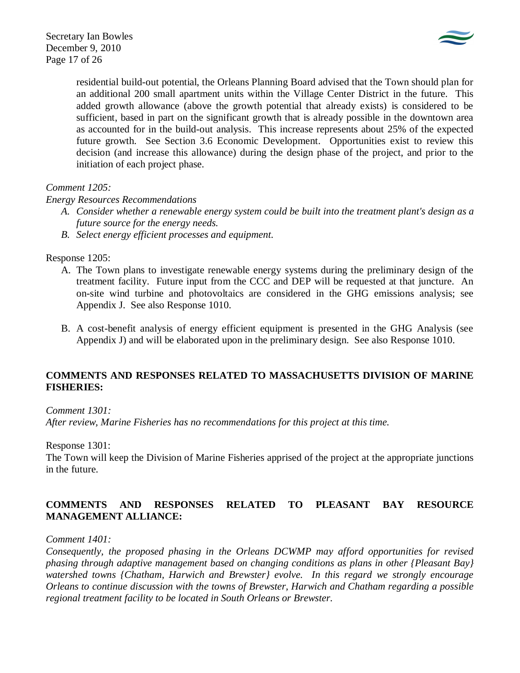

residential build-out potential, the Orleans Planning Board advised that the Town should plan for an additional 200 small apartment units within the Village Center District in the future. This added growth allowance (above the growth potential that already exists) is considered to be sufficient, based in part on the significant growth that is already possible in the downtown area as accounted for in the build-out analysis. This increase represents about 25% of the expected future growth. See Section 3.6 Economic Development. Opportunities exist to review this decision (and increase this allowance) during the design phase of the project, and prior to the initiation of each project phase.

## *Comment 1205:*

*Energy Resources Recommendations* 

- *A. Consider whether a renewable energy system could be built into the treatment plant's design as a future source for the energy needs.*
- *B. Select energy efficient processes and equipment.*

## Response 1205:

- A. The Town plans to investigate renewable energy systems during the preliminary design of the treatment facility. Future input from the CCC and DEP will be requested at that juncture. An on-site wind turbine and photovoltaics are considered in the GHG emissions analysis; see Appendix J. See also Response 1010.
- B. A cost-benefit analysis of energy efficient equipment is presented in the GHG Analysis (see Appendix J) and will be elaborated upon in the preliminary design. See also Response 1010.

## **COMMENTS AND RESPONSES RELATED TO MASSACHUSETTS DIVISION OF MARINE FISHERIES:**

*Comment 1301:* 

*After review, Marine Fisheries has no recommendations for this project at this time.* 

Response 1301:

The Town will keep the Division of Marine Fisheries apprised of the project at the appropriate junctions in the future.

# **COMMENTS AND RESPONSES RELATED TO PLEASANT BAY RESOURCE MANAGEMENT ALLIANCE:**

## *Comment 1401:*

*Consequently, the proposed phasing in the Orleans DCWMP may afford opportunities for revised phasing through adaptive management based on changing conditions as plans in other {Pleasant Bay} watershed towns {Chatham, Harwich and Brewster} evolve. In this regard we strongly encourage Orleans to continue discussion with the towns of Brewster, Harwich and Chatham regarding a possible regional treatment facility to be located in South Orleans or Brewster.*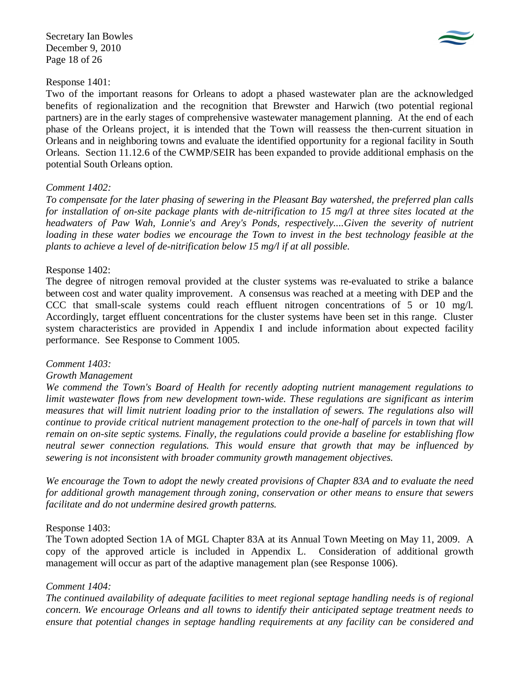Secretary Ian Bowles December 9, 2010 Page 18 of 26



## Response 1401:

Two of the important reasons for Orleans to adopt a phased wastewater plan are the acknowledged benefits of regionalization and the recognition that Brewster and Harwich (two potential regional partners) are in the early stages of comprehensive wastewater management planning. At the end of each phase of the Orleans project, it is intended that the Town will reassess the then-current situation in Orleans and in neighboring towns and evaluate the identified opportunity for a regional facility in South Orleans. Section 11.12.6 of the CWMP/SEIR has been expanded to provide additional emphasis on the potential South Orleans option.

## *Comment 1402:*

*To compensate for the later phasing of sewering in the Pleasant Bay watershed, the preferred plan calls for installation of on-site package plants with de-nitrification to 15 mg/l at three sites located at the headwaters of Paw Wah, Lonnie's and Arey's Ponds, respectively....Given the severity of nutrient loading in these water bodies we encourage the Town to invest in the best technology feasible at the plants to achieve a level of de-nitrification below 15 mg/l if at all possible.* 

## Response 1402:

The degree of nitrogen removal provided at the cluster systems was re-evaluated to strike a balance between cost and water quality improvement. A consensus was reached at a meeting with DEP and the CCC that small-scale systems could reach effluent nitrogen concentrations of 5 or 10 mg/l. Accordingly, target effluent concentrations for the cluster systems have been set in this range. Cluster system characteristics are provided in Appendix I and include information about expected facility performance. See Response to Comment 1005.

### *Comment 1403:*

### *Growth Management*

*We commend the Town's Board of Health for recently adopting nutrient management regulations to limit wastewater flows from new development town-wide. These regulations are significant as interim measures that will limit nutrient loading prior to the installation of sewers. The regulations also will continue to provide critical nutrient management protection to the one-half of parcels in town that will remain on on-site septic systems. Finally, the regulations could provide a baseline for establishing flow neutral sewer connection regulations. This would ensure that growth that may be influenced by sewering is not inconsistent with broader community growth management objectives.* 

*We encourage the Town to adopt the newly created provisions of Chapter 83A and to evaluate the need for additional growth management through zoning, conservation or other means to ensure that sewers facilitate and do not undermine desired growth patterns.* 

### Response 1403:

The Town adopted Section 1A of MGL Chapter 83A at its Annual Town Meeting on May 11, 2009. A copy of the approved article is included in Appendix L. Consideration of additional growth management will occur as part of the adaptive management plan (see Response 1006).

## *Comment 1404:*

*The continued availability of adequate facilities to meet regional septage handling needs is of regional concern. We encourage Orleans and all towns to identify their anticipated septage treatment needs to ensure that potential changes in septage handling requirements at any facility can be considered and*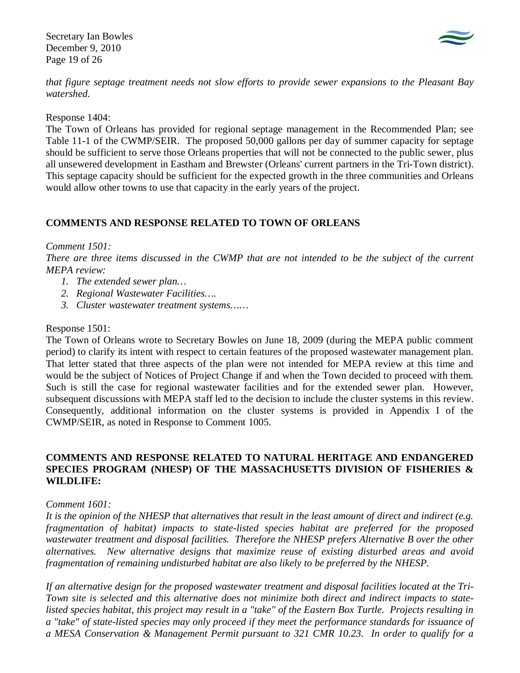Secretary Ian Bowles December 9, 2010 Page 19 of 26



*that figure septage treatment needs not slow efforts to provide sewer expansions to the Pleasant Bay watershed.* 

Response 1404:

The Town of Orleans has provided for regional septage management in the Recommended Plan; see Table 11-1 of the CWMP/SEIR. The proposed 50,000 gallons per day of summer capacity for septage should be sufficient to serve those Orleans properties that will not be connected to the public sewer, plus all unsewered development in Eastham and Brewster (Orleans' current partners in the Tri-Town district). This septage capacity should be sufficient for the expected growth in the three communities and Orleans would allow other towns to use that capacity in the early years of the project.

## **COMMENTS AND RESPONSE RELATED TO TOWN OF ORLEANS**

## *Comment 1501:*

*There are three items discussed in the CWMP that are not intended to be the subject of the current MEPA review:* 

- *1. The extended sewer plan…*
- *2. Regional Wastewater Facilities….*
- *3. Cluster wastewater treatment systems……*

## Response 1501:

The Town of Orleans wrote to Secretary Bowles on June 18, 2009 (during the MEPA public comment period) to clarify its intent with respect to certain features of the proposed wastewater management plan. That letter stated that three aspects of the plan were not intended for MEPA review at this time and would be the subject of Notices of Project Change if and when the Town decided to proceed with them. Such is still the case for regional wastewater facilities and for the extended sewer plan. However, subsequent discussions with MEPA staff led to the decision to include the cluster systems in this review. Consequently, additional information on the cluster systems is provided in Appendix I of the CWMP/SEIR, as noted in Response to Comment 1005.

## **COMMENTS AND RESPONSE RELATED TO NATURAL HERITAGE AND ENDANGERED SPECIES PROGRAM (NHESP) OF THE MASSACHUSETTS DIVISION OF FISHERIES & WILDLIFE:**

### *Comment 1601:*

*It is the opinion of the NHESP that alternatives that result in the least amount of direct and indirect (e.g. fragmentation of habitat) impacts to state-listed species habitat are preferred for the proposed wastewater treatment and disposal facilities. Therefore the NHESP prefers Alternative B over the other alternatives. New alternative designs that maximize reuse of existing disturbed areas and avoid fragmentation of remaining undisturbed habitat are also likely to be preferred by the NHESP.* 

*If an alternative design for the proposed wastewater treatment and disposal facilities located at the Tri-Town site is selected and this alternative does not minimize both direct and indirect impacts to statelisted species habitat, this project may result in a "take" of the Eastern Box Turtle. Projects resulting in a "take" of state-listed species may only proceed if they meet the performance standards for issuance of a MESA Conservation & Management Permit pursuant to 321 CMR 10.23. In order to qualify for a*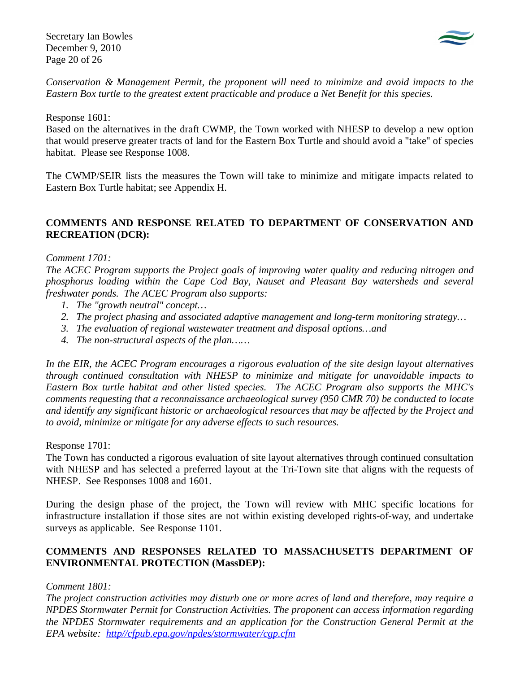Secretary Ian Bowles December 9, 2010 Page 20 of 26



*Conservation & Management Permit, the proponent will need to minimize and avoid impacts to the Eastern Box turtle to the greatest extent practicable and produce a Net Benefit for this species.* 

Response 1601:

Based on the alternatives in the draft CWMP, the Town worked with NHESP to develop a new option that would preserve greater tracts of land for the Eastern Box Turtle and should avoid a "take" of species habitat. Please see Response 1008.

The CWMP/SEIR lists the measures the Town will take to minimize and mitigate impacts related to Eastern Box Turtle habitat; see Appendix H.

## **COMMENTS AND RESPONSE RELATED TO DEPARTMENT OF CONSERVATION AND RECREATION (DCR):**

## *Comment 1701:*

*The ACEC Program supports the Project goals of improving water quality and reducing nitrogen and phosphorus loading within the Cape Cod Bay, Nauset and Pleasant Bay watersheds and several freshwater ponds. The ACEC Program also supports:* 

- *1. The "growth neutral" concept…*
- *2. The project phasing and associated adaptive management and long-term monitoring strategy…*
- *3. The evaluation of regional wastewater treatment and disposal options…and*
- *4. The non-structural aspects of the plan……*

*In the EIR, the ACEC Program encourages a rigorous evaluation of the site design layout alternatives through continued consultation with NHESP to minimize and mitigate for unavoidable impacts to Eastern Box turtle habitat and other listed species. The ACEC Program also supports the MHC's comments requesting that a reconnaissance archaeological survey (950 CMR 70) be conducted to locate and identify any significant historic or archaeological resources that may be affected by the Project and to avoid, minimize or mitigate for any adverse effects to such resources.* 

Response 1701:

The Town has conducted a rigorous evaluation of site layout alternatives through continued consultation with NHESP and has selected a preferred layout at the Tri-Town site that aligns with the requests of NHESP. See Responses 1008 and 1601.

During the design phase of the project, the Town will review with MHC specific locations for infrastructure installation if those sites are not within existing developed rights-of-way, and undertake surveys as applicable. See Response 1101.

# **COMMENTS AND RESPONSES RELATED TO MASSACHUSETTS DEPARTMENT OF ENVIRONMENTAL PROTECTION (MassDEP):**

## *Comment 1801:*

*The project construction activities may disturb one or more acres of land and therefore, may require a NPDES Stormwater Permit for Construction Activities. The proponent can access information regarding the NPDES Stormwater requirements and an application for the Construction General Permit at the EPA website: http//cfpub.epa.gov/npdes/stormwater/cgp.cfm*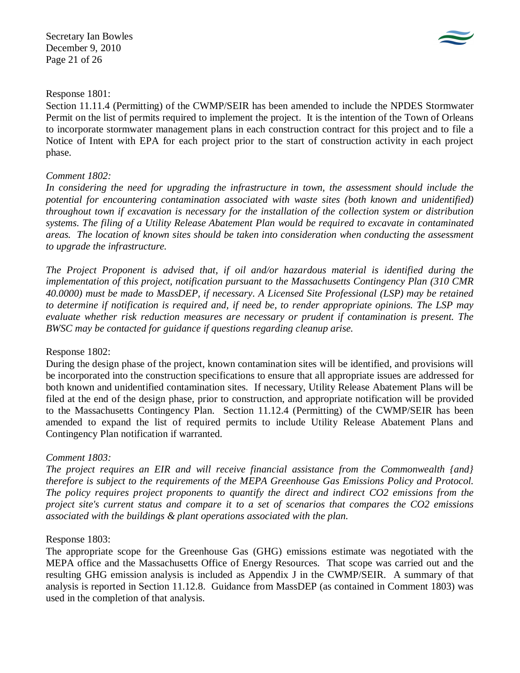Secretary Ian Bowles December 9, 2010 Page 21 of 26



## Response 1801:

Section 11.11.4 (Permitting) of the CWMP/SEIR has been amended to include the NPDES Stormwater Permit on the list of permits required to implement the project. It is the intention of the Town of Orleans to incorporate stormwater management plans in each construction contract for this project and to file a Notice of Intent with EPA for each project prior to the start of construction activity in each project phase.

# *Comment 1802:*

In considering the need for upgrading the infrastructure in town, the assessment should include the *potential for encountering contamination associated with waste sites (both known and unidentified) throughout town if excavation is necessary for the installation of the collection system or distribution systems. The filing of a Utility Release Abatement Plan would be required to excavate in contaminated areas. The location of known sites should be taken into consideration when conducting the assessment to upgrade the infrastructure.* 

*The Project Proponent is advised that, if oil and/or hazardous material is identified during the implementation of this project, notification pursuant to the Massachusetts Contingency Plan (310 CMR 40.0000) must be made to MassDEP, if necessary. A Licensed Site Professional (LSP) may be retained to determine if notification is required and, if need be, to render appropriate opinions. The LSP may evaluate whether risk reduction measures are necessary or prudent if contamination is present. The BWSC may be contacted for guidance if questions regarding cleanup arise.* 

# Response 1802:

During the design phase of the project, known contamination sites will be identified, and provisions will be incorporated into the construction specifications to ensure that all appropriate issues are addressed for both known and unidentified contamination sites. If necessary, Utility Release Abatement Plans will be filed at the end of the design phase, prior to construction, and appropriate notification will be provided to the Massachusetts Contingency Plan. Section 11.12.4 (Permitting) of the CWMP/SEIR has been amended to expand the list of required permits to include Utility Release Abatement Plans and Contingency Plan notification if warranted.

# *Comment 1803:*

*The project requires an EIR and will receive financial assistance from the Commonwealth {and} therefore is subject to the requirements of the MEPA Greenhouse Gas Emissions Policy and Protocol. The policy requires project proponents to quantify the direct and indirect CO2 emissions from the project site's current status and compare it to a set of scenarios that compares the CO2 emissions associated with the buildings & plant operations associated with the plan.* 

# Response 1803:

The appropriate scope for the Greenhouse Gas (GHG) emissions estimate was negotiated with the MEPA office and the Massachusetts Office of Energy Resources. That scope was carried out and the resulting GHG emission analysis is included as Appendix J in the CWMP/SEIR. A summary of that analysis is reported in Section 11.12.8. Guidance from MassDEP (as contained in Comment 1803) was used in the completion of that analysis.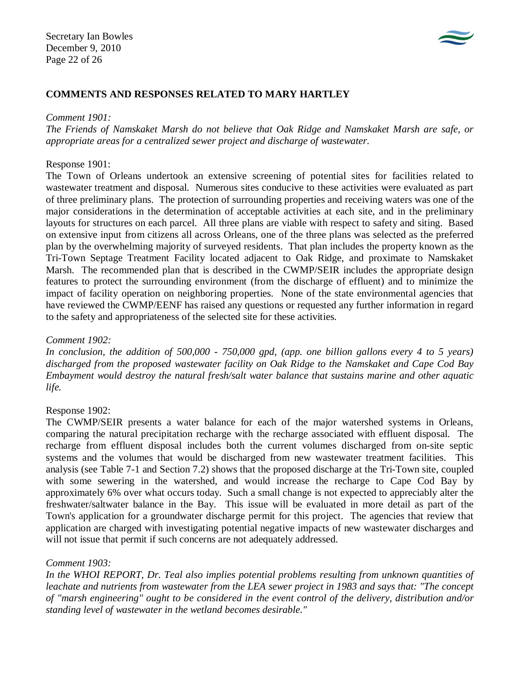

## **COMMENTS AND RESPONSES RELATED TO MARY HARTLEY**

#### *Comment 1901:*

*The Friends of Namskaket Marsh do not believe that Oak Ridge and Namskaket Marsh are safe, or appropriate areas for a centralized sewer project and discharge of wastewater.* 

### Response 1901:

The Town of Orleans undertook an extensive screening of potential sites for facilities related to wastewater treatment and disposal. Numerous sites conducive to these activities were evaluated as part of three preliminary plans. The protection of surrounding properties and receiving waters was one of the major considerations in the determination of acceptable activities at each site, and in the preliminary layouts for structures on each parcel. All three plans are viable with respect to safety and siting. Based on extensive input from citizens all across Orleans, one of the three plans was selected as the preferred plan by the overwhelming majority of surveyed residents. That plan includes the property known as the Tri-Town Septage Treatment Facility located adjacent to Oak Ridge, and proximate to Namskaket Marsh. The recommended plan that is described in the CWMP/SEIR includes the appropriate design features to protect the surrounding environment (from the discharge of effluent) and to minimize the impact of facility operation on neighboring properties. None of the state environmental agencies that have reviewed the CWMP/EENF has raised any questions or requested any further information in regard to the safety and appropriateness of the selected site for these activities.

### *Comment 1902:*

*In conclusion, the addition of 500,000 - 750,000 gpd, (app. one billion gallons every 4 to 5 years) discharged from the proposed wastewater facility on Oak Ridge to the Namskaket and Cape Cod Bay Embayment would destroy the natural fresh/salt water balance that sustains marine and other aquatic life.* 

### Response 1902:

The CWMP/SEIR presents a water balance for each of the major watershed systems in Orleans, comparing the natural precipitation recharge with the recharge associated with effluent disposal. The recharge from effluent disposal includes both the current volumes discharged from on-site septic systems and the volumes that would be discharged from new wastewater treatment facilities. This analysis (see Table 7-1 and Section 7.2) shows that the proposed discharge at the Tri-Town site, coupled with some sewering in the watershed, and would increase the recharge to Cape Cod Bay by approximately 6% over what occurs today. Such a small change is not expected to appreciably alter the freshwater/saltwater balance in the Bay. This issue will be evaluated in more detail as part of the Town's application for a groundwater discharge permit for this project. The agencies that review that application are charged with investigating potential negative impacts of new wastewater discharges and will not issue that permit if such concerns are not adequately addressed.

## *Comment 1903:*

*In the WHOI REPORT, Dr. Teal also implies potential problems resulting from unknown quantities of leachate and nutrients from wastewater from the LEA sewer project in 1983 and says that: "The concept of "marsh engineering" ought to be considered in the event control of the delivery, distribution and/or standing level of wastewater in the wetland becomes desirable."*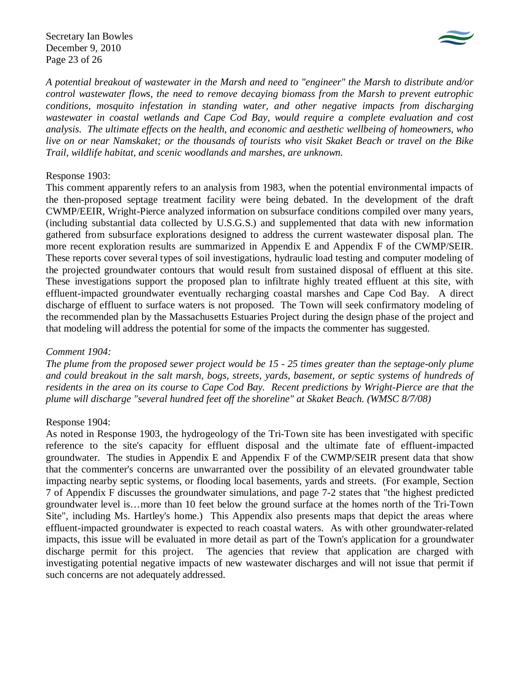Secretary Ian Bowles December 9, 2010 Page 23 of 26



*A potential breakout of wastewater in the Marsh and need to "engineer" the Marsh to distribute and/or control wastewater flows, the need to remove decaying biomass from the Marsh to prevent eutrophic conditions, mosquito infestation in standing water, and other negative impacts from discharging wastewater in coastal wetlands and Cape Cod Bay, would require a complete evaluation and cost analysis. The ultimate effects on the health, and economic and aesthetic wellbeing of homeowners, who live on or near Namskaket; or the thousands of tourists who visit Skaket Beach or travel on the Bike Trail, wildlife habitat, and scenic woodlands and marshes, are unknown.* 

## Response 1903:

This comment apparently refers to an analysis from 1983, when the potential environmental impacts of the then-proposed septage treatment facility were being debated. In the development of the draft CWMP/EEIR, Wright-Pierce analyzed information on subsurface conditions compiled over many years, (including substantial data collected by U.S.G.S.) and supplemented that data with new information gathered from subsurface explorations designed to address the current wastewater disposal plan. The more recent exploration results are summarized in Appendix E and Appendix F of the CWMP/SEIR. These reports cover several types of soil investigations, hydraulic load testing and computer modeling of the projected groundwater contours that would result from sustained disposal of effluent at this site. These investigations support the proposed plan to infiltrate highly treated effluent at this site, with effluent-impacted groundwater eventually recharging coastal marshes and Cape Cod Bay. A direct discharge of effluent to surface waters is not proposed. The Town will seek confirmatory modeling of the recommended plan by the Massachusetts Estuaries Project during the design phase of the project and that modeling will address the potential for some of the impacts the commenter has suggested.

### *Comment 1904:*

*The plume from the proposed sewer project would be 15 - 25 times greater than the septage-only plume and could breakout in the salt marsh, bogs, streets, yards, basement, or septic systems of hundreds of residents in the area on its course to Cape Cod Bay. Recent predictions by Wright-Pierce are that the plume will discharge "several hundred feet off the shoreline" at Skaket Beach. (WMSC 8/7/08)* 

## Response 1904:

As noted in Response 1903, the hydrogeology of the Tri-Town site has been investigated with specific reference to the site's capacity for effluent disposal and the ultimate fate of effluent-impacted groundwater. The studies in Appendix E and Appendix F of the CWMP/SEIR present data that show that the commenter's concerns are unwarranted over the possibility of an elevated groundwater table impacting nearby septic systems, or flooding local basements, yards and streets. (For example, Section 7 of Appendix F discusses the groundwater simulations, and page 7-2 states that "the highest predicted groundwater level is…more than 10 feet below the ground surface at the homes north of the Tri-Town Site", including Ms. Hartley's home.) This Appendix also presents maps that depict the areas where effluent-impacted groundwater is expected to reach coastal waters. As with other groundwater-related impacts, this issue will be evaluated in more detail as part of the Town's application for a groundwater discharge permit for this project. The agencies that review that application are charged with investigating potential negative impacts of new wastewater discharges and will not issue that permit if such concerns are not adequately addressed.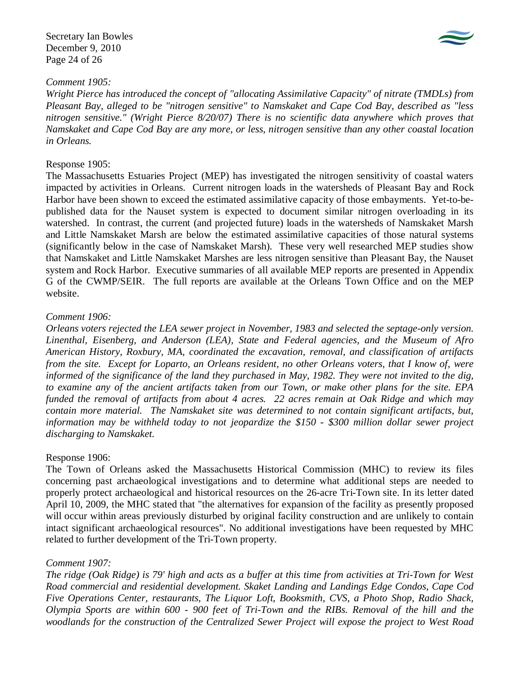Secretary Ian Bowles December 9, 2010 Page 24 of 26



## *Comment 1905:*

*Wright Pierce has introduced the concept of "allocating Assimilative Capacity" of nitrate (TMDLs) from Pleasant Bay, alleged to be "nitrogen sensitive" to Namskaket and Cape Cod Bay, described as "less nitrogen sensitive." (Wright Pierce 8/20/07) There is no scientific data anywhere which proves that Namskaket and Cape Cod Bay are any more, or less, nitrogen sensitive than any other coastal location in Orleans.* 

## Response 1905:

The Massachusetts Estuaries Project (MEP) has investigated the nitrogen sensitivity of coastal waters impacted by activities in Orleans. Current nitrogen loads in the watersheds of Pleasant Bay and Rock Harbor have been shown to exceed the estimated assimilative capacity of those embayments. Yet-to-bepublished data for the Nauset system is expected to document similar nitrogen overloading in its watershed. In contrast, the current (and projected future) loads in the watersheds of Namskaket Marsh and Little Namskaket Marsh are below the estimated assimilative capacities of those natural systems (significantly below in the case of Namskaket Marsh). These very well researched MEP studies show that Namskaket and Little Namskaket Marshes are less nitrogen sensitive than Pleasant Bay, the Nauset system and Rock Harbor. Executive summaries of all available MEP reports are presented in Appendix G of the CWMP/SEIR. The full reports are available at the Orleans Town Office and on the MEP website.

## *Comment 1906:*

*Orleans voters rejected the LEA sewer project in November, 1983 and selected the septage-only version. Linenthal, Eisenberg, and Anderson (LEA), State and Federal agencies, and the Museum of Afro American History, Roxbury, MA, coordinated the excavation, removal, and classification of artifacts from the site. Except for Loparto, an Orleans resident, no other Orleans voters, that I know of, were informed of the significance of the land they purchased in May, 1982. They were not invited to the dig, to examine any of the ancient artifacts taken from our Town, or make other plans for the site. EPA funded the removal of artifacts from about 4 acres. 22 acres remain at Oak Ridge and which may contain more material. The Namskaket site was determined to not contain significant artifacts, but, information may be withheld today to not jeopardize the \$150 - \$300 million dollar sewer project discharging to Namskaket.* 

## Response 1906:

The Town of Orleans asked the Massachusetts Historical Commission (MHC) to review its files concerning past archaeological investigations and to determine what additional steps are needed to properly protect archaeological and historical resources on the 26-acre Tri-Town site. In its letter dated April 10, 2009, the MHC stated that "the alternatives for expansion of the facility as presently proposed will occur within areas previously disturbed by original facility construction and are unlikely to contain intact significant archaeological resources". No additional investigations have been requested by MHC related to further development of the Tri-Town property.

## *Comment 1907:*

*The ridge (Oak Ridge) is 79' high and acts as a buffer at this time from activities at Tri-Town for West Road commercial and residential development. Skaket Landing and Landings Edge Condos, Cape Cod Five Operations Center, restaurants, The Liquor Loft, Booksmith, CVS, a Photo Shop, Radio Shack, Olympia Sports are within 600 - 900 feet of Tri-Town and the RIBs. Removal of the hill and the woodlands for the construction of the Centralized Sewer Project will expose the project to West Road*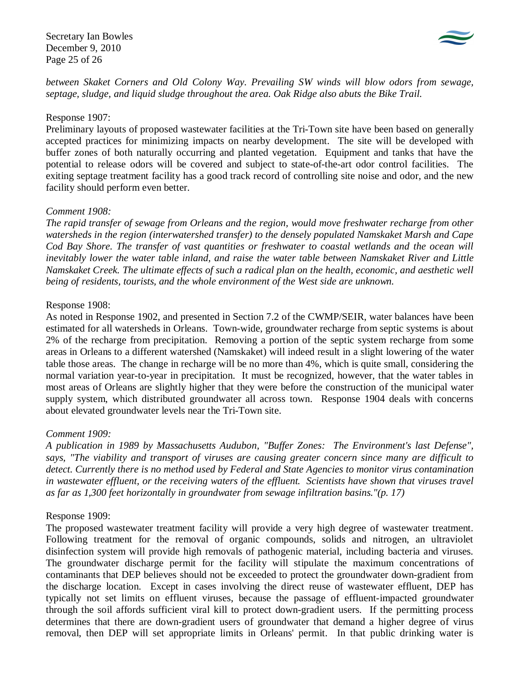Secretary Ian Bowles December 9, 2010 Page 25 of 26



*between Skaket Corners and Old Colony Way. Prevailing SW winds will blow odors from sewage, septage, sludge, and liquid sludge throughout the area. Oak Ridge also abuts the Bike Trail.* 

### Response 1907:

Preliminary layouts of proposed wastewater facilities at the Tri-Town site have been based on generally accepted practices for minimizing impacts on nearby development. The site will be developed with buffer zones of both naturally occurring and planted vegetation. Equipment and tanks that have the potential to release odors will be covered and subject to state-of-the-art odor control facilities. The exiting septage treatment facility has a good track record of controlling site noise and odor, and the new facility should perform even better.

## *Comment 1908:*

*The rapid transfer of sewage from Orleans and the region, would move freshwater recharge from other watersheds in the region (interwatershed transfer) to the densely populated Namskaket Marsh and Cape Cod Bay Shore. The transfer of vast quantities or freshwater to coastal wetlands and the ocean will inevitably lower the water table inland, and raise the water table between Namskaket River and Little Namskaket Creek. The ultimate effects of such a radical plan on the health, economic, and aesthetic well being of residents, tourists, and the whole environment of the West side are unknown.* 

## Response 1908:

As noted in Response 1902, and presented in Section 7.2 of the CWMP/SEIR, water balances have been estimated for all watersheds in Orleans. Town-wide, groundwater recharge from septic systems is about 2% of the recharge from precipitation. Removing a portion of the septic system recharge from some areas in Orleans to a different watershed (Namskaket) will indeed result in a slight lowering of the water table those areas. The change in recharge will be no more than 4%, which is quite small, considering the normal variation year-to-year in precipitation. It must be recognized, however, that the water tables in most areas of Orleans are slightly higher that they were before the construction of the municipal water supply system, which distributed groundwater all across town. Response 1904 deals with concerns about elevated groundwater levels near the Tri-Town site.

## *Comment 1909:*

*A publication in 1989 by Massachusetts Audubon, "Buffer Zones: The Environment's last Defense", says, "The viability and transport of viruses are causing greater concern since many are difficult to detect. Currently there is no method used by Federal and State Agencies to monitor virus contamination in wastewater effluent, or the receiving waters of the effluent. Scientists have shown that viruses travel as far as 1,300 feet horizontally in groundwater from sewage infiltration basins."(p. 17)* 

### Response 1909:

The proposed wastewater treatment facility will provide a very high degree of wastewater treatment. Following treatment for the removal of organic compounds, solids and nitrogen, an ultraviolet disinfection system will provide high removals of pathogenic material, including bacteria and viruses. The groundwater discharge permit for the facility will stipulate the maximum concentrations of contaminants that DEP believes should not be exceeded to protect the groundwater down-gradient from the discharge location. Except in cases involving the direct reuse of wastewater effluent, DEP has typically not set limits on effluent viruses, because the passage of effluent-impacted groundwater through the soil affords sufficient viral kill to protect down-gradient users. If the permitting process determines that there are down-gradient users of groundwater that demand a higher degree of virus removal, then DEP will set appropriate limits in Orleans' permit. In that public drinking water is